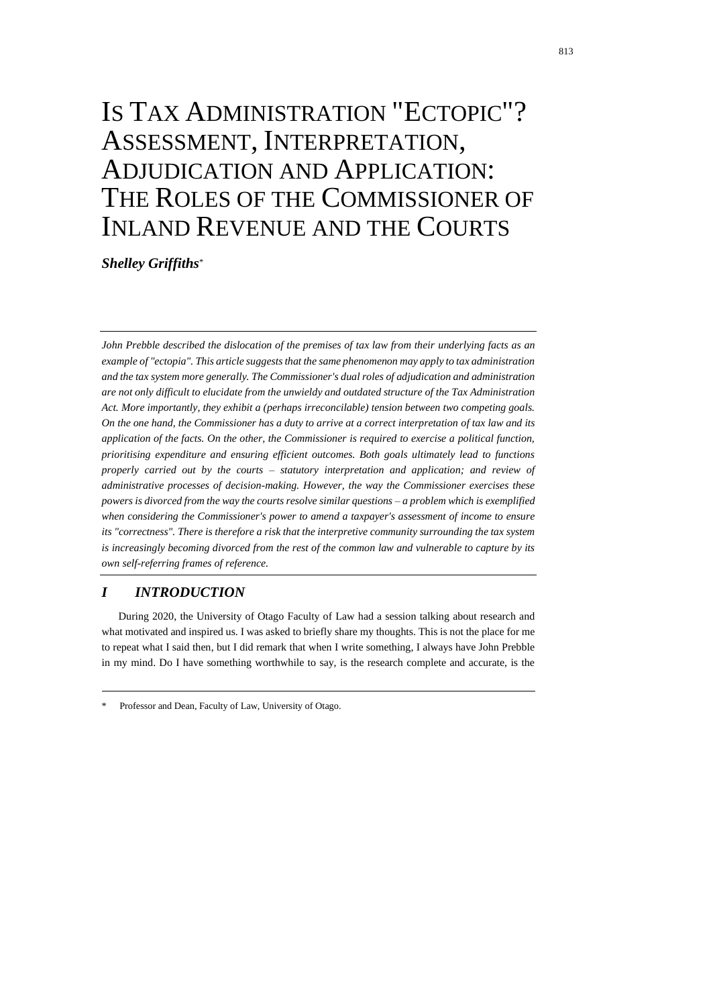# IS TAX ADMINISTRATION "ECTOPIC"? ASSESSMENT, INTERPRETATION, ADJUDICATION AND APPLICATION: THE ROLES OF THE COMMISSIONER OF INLAND REVENUE AND THE COURTS

*Shelley Griffiths*\*

*John Prebble described the dislocation of the premises of tax law from their underlying facts as an example of "ectopia". This article suggests that the same phenomenon may apply to tax administration and the tax system more generally. The Commissioner's dual roles of adjudication and administration are not only difficult to elucidate from the unwieldy and outdated structure of the Tax Administration Act. More importantly, they exhibit a (perhaps irreconcilable) tension between two competing goals. On the one hand, the Commissioner has a duty to arrive at a correct interpretation of tax law and its application of the facts. On the other, the Commissioner is required to exercise a political function, prioritising expenditure and ensuring efficient outcomes. Both goals ultimately lead to functions properly carried out by the courts – statutory interpretation and application; and review of administrative processes of decision-making. However, the way the Commissioner exercises these powers is divorced from the way the courts resolve similar questions – a problem which is exemplified when considering the Commissioner's power to amend a taxpayer's assessment of income to ensure its "correctness". There is therefore a risk that the interpretive community surrounding the tax system is increasingly becoming divorced from the rest of the common law and vulnerable to capture by its own self-referring frames of reference.* 

## *I INTRODUCTION*

During 2020, the University of Otago Faculty of Law had a session talking about research and what motivated and inspired us. I was asked to briefly share my thoughts. This is not the place for me to repeat what I said then, but I did remark that when I write something, I always have John Prebble in my mind. Do I have something worthwhile to say, is the research complete and accurate, is the

Professor and Dean, Faculty of Law, University of Otago.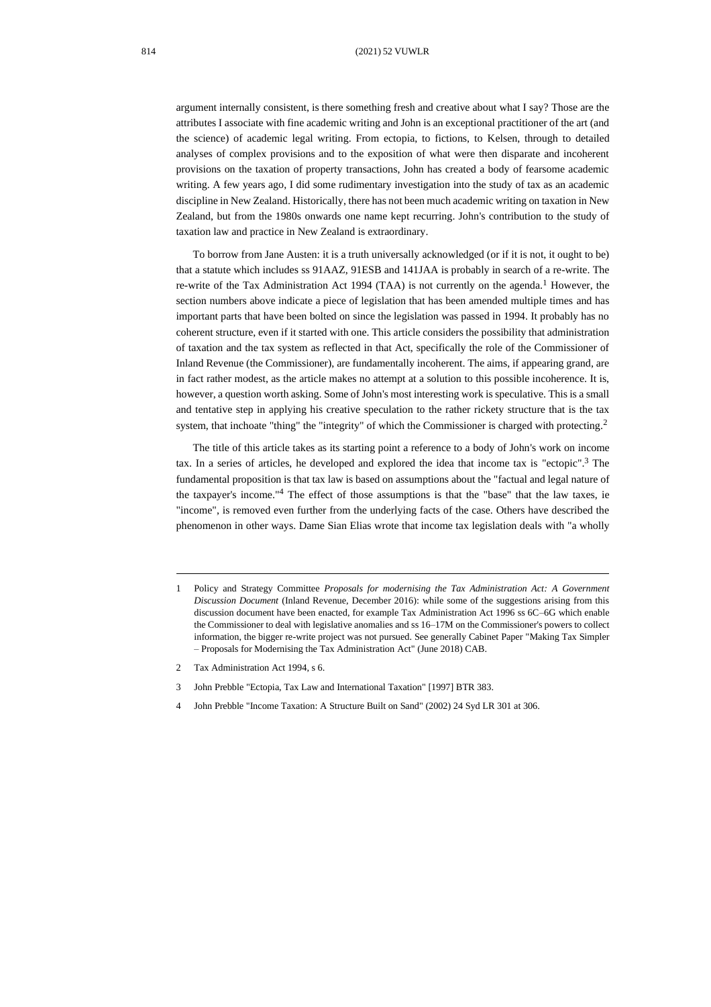argument internally consistent, is there something fresh and creative about what I say? Those are the attributes I associate with fine academic writing and John is an exceptional practitioner of the art (and the science) of academic legal writing. From ectopia, to fictions, to Kelsen, through to detailed analyses of complex provisions and to the exposition of what were then disparate and incoherent provisions on the taxation of property transactions, John has created a body of fearsome academic writing. A few years ago, I did some rudimentary investigation into the study of tax as an academic discipline in New Zealand. Historically, there has not been much academic writing on taxation in New Zealand, but from the 1980s onwards one name kept recurring. John's contribution to the study of taxation law and practice in New Zealand is extraordinary.

<span id="page-1-1"></span>To borrow from Jane Austen: it is a truth universally acknowledged (or if it is not, it ought to be) that a statute which includes ss 91AAZ, 91ESB and 141JAA is probably in search of a re-write. The re-write of the Tax Administration Act 1994 (TAA) is not currently on the agenda.<sup>1</sup> However, the section numbers above indicate a piece of legislation that has been amended multiple times and has important parts that have been bolted on since the legislation was passed in 1994. It probably has no coherent structure, even if it started with one. This article considers the possibility that administration of taxation and the tax system as reflected in that Act, specifically the role of the Commissioner of Inland Revenue (the Commissioner), are fundamentally incoherent. The aims, if appearing grand, are in fact rather modest, as the article makes no attempt at a solution to this possible incoherence. It is, however, a question worth asking. Some of John's most interesting work is speculative. This is a small and tentative step in applying his creative speculation to the rather rickety structure that is the tax system, that inchoate "thing" the "integrity" of which the Commissioner is charged with protecting.<sup>2</sup>

<span id="page-1-0"></span>The title of this article takes as its starting point a reference to a body of John's work on income tax. In a series of articles, he developed and explored the idea that income tax is "ectopic". <sup>3</sup> The fundamental proposition is that tax law is based on assumptions about the "factual and legal nature of the taxpayer's income." <sup>4</sup> The effect of those assumptions is that the "base" that the law taxes, ie "income", is removed even further from the underlying facts of the case. Others have described the phenomenon in other ways. Dame Sian Elias wrote that income tax legislation deals with "a wholly

<sup>1</sup> Policy and Strategy Committee *Proposals for modernising the Tax Administration Act: A Government Discussion Document* (Inland Revenue, December 2016): while some of the suggestions arising from this discussion document have been enacted, for example Tax Administration Act 1996 ss 6C–6G which enable the Commissioner to deal with legislative anomalies and ss 16–17M on the Commissioner's powers to collect information, the bigger re-write project was not pursued. See generally Cabinet Paper "Making Tax Simpler – Proposals for Modernising the Tax Administration Act" (June 2018) CAB.

<sup>2</sup> Tax Administration Act 1994, s 6.

<sup>3</sup> John Prebble "Ectopia, Tax Law and International Taxation" [1997] BTR 383.

<sup>4</sup> John Prebble "Income Taxation: A Structure Built on Sand" (2002) 24 Syd LR 301 at 306.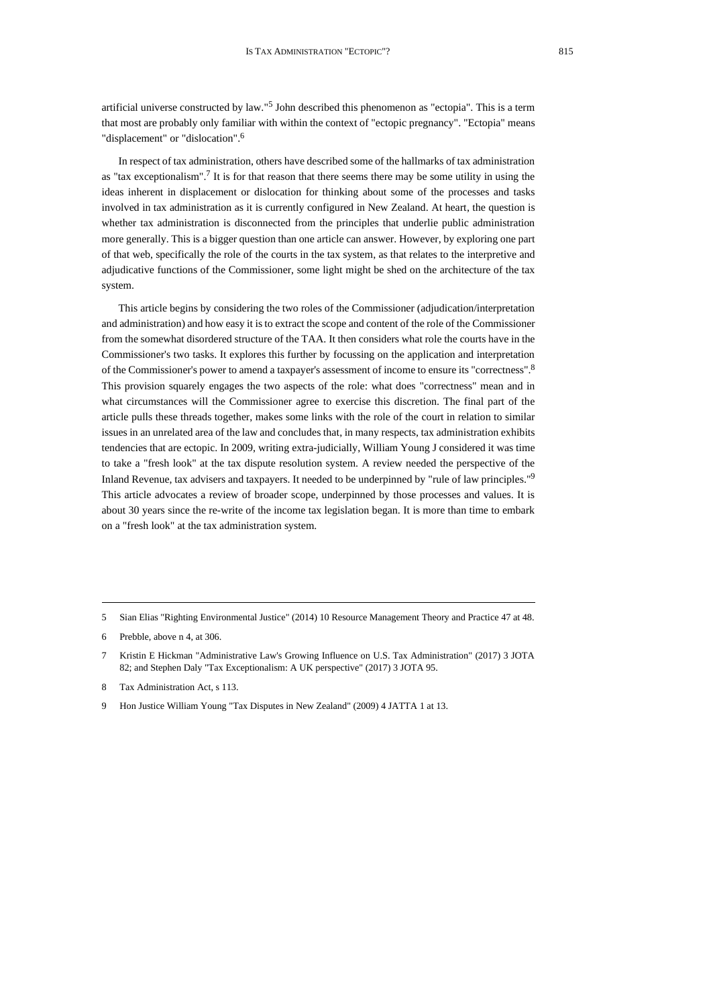artificial universe constructed by law." 5 John described this phenomenon as "ectopia". This is a term that most are probably only familiar with within the context of "ectopic pregnancy". "Ectopia" means "displacement" or "dislocation".<sup>6</sup>

In respect of tax administration, others have described some of the hallmarks of tax administration as "tax exceptionalism". 7 It is for that reason that there seems there may be some utility in using the ideas inherent in displacement or dislocation for thinking about some of the processes and tasks involved in tax administration as it is currently configured in New Zealand. At heart, the question is whether tax administration is disconnected from the principles that underlie public administration more generally. This is a bigger question than one article can answer. However, by exploring one part of that web, specifically the role of the courts in the tax system, as that relates to the interpretive and adjudicative functions of the Commissioner, some light might be shed on the architecture of the tax system.

This article begins by considering the two roles of the Commissioner (adjudication/interpretation and administration) and how easy it is to extract the scope and content of the role of the Commissioner from the somewhat disordered structure of the TAA. It then considers what role the courts have in the Commissioner's two tasks. It explores this further by focussing on the application and interpretation of the Commissioner's power to amend a taxpayer's assessment of income to ensure its "correctness". 8 This provision squarely engages the two aspects of the role: what does "correctness" mean and in what circumstances will the Commissioner agree to exercise this discretion. The final part of the article pulls these threads together, makes some links with the role of the court in relation to similar issues in an unrelated area of the law and concludes that, in many respects, tax administration exhibits tendencies that are ectopic. In 2009, writing extra-judicially, William Young J considered it was time to take a "fresh look" at the tax dispute resolution system. A review needed the perspective of the Inland Revenue, tax advisers and taxpayers. It needed to be underpinned by "rule of law principles." 9 This article advocates a review of broader scope, underpinned by those processes and values. It is about 30 years since the re-write of the income tax legislation began. It is more than time to embark on a "fresh look" at the tax administration system.

<span id="page-2-0"></span><sup>5</sup> Sian Elias "Righting Environmental Justice" (2014) 10 Resource Management Theory and Practice 47 at 48.

<sup>6</sup> Prebble, above [n 4,](#page-1-0) at 306.

<sup>7</sup> Kristin E Hickman "Administrative Law's Growing Influence on U.S. Tax Administration" (2017) 3 JOTA 82; and Stephen Daly "Tax Exceptionalism: A UK perspective" (2017) 3 JOTA 95.

<sup>8</sup> Tax Administration Act, s 113.

<sup>9</sup> Hon Justice William Young "Tax Disputes in New Zealand" (2009) 4 JATTA 1 at 13.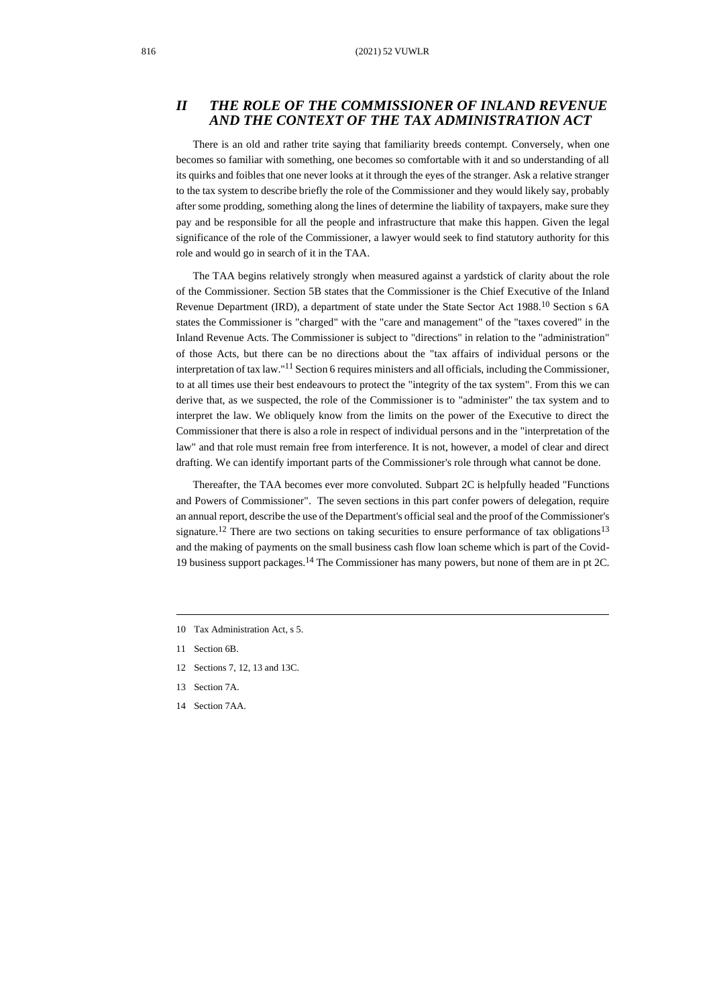## *II THE ROLE OF THE COMMISSIONER OF INLAND REVENUE AND THE CONTEXT OF THE TAX ADMINISTRATION ACT*

There is an old and rather trite saying that familiarity breeds contempt. Conversely, when one becomes so familiar with something, one becomes so comfortable with it and so understanding of all its quirks and foibles that one never looks at it through the eyes of the stranger. Ask a relative stranger to the tax system to describe briefly the role of the Commissioner and they would likely say, probably after some prodding, something along the lines of determine the liability of taxpayers, make sure they pay and be responsible for all the people and infrastructure that make this happen. Given the legal significance of the role of the Commissioner, a lawyer would seek to find statutory authority for this role and would go in search of it in the TAA.

The TAA begins relatively strongly when measured against a yardstick of clarity about the role of the Commissioner. Section 5B states that the Commissioner is the Chief Executive of the Inland Revenue Department (IRD), a department of state under the State Sector Act 1988.<sup>10</sup> Section s 6A states the Commissioner is "charged" with the "care and management" of the "taxes covered" in the Inland Revenue Acts. The Commissioner is subject to "directions" in relation to the "administration" of those Acts, but there can be no directions about the "tax affairs of individual persons or the interpretation of tax law."<sup>11</sup> Section 6 requires ministers and all officials, including the Commissioner, to at all times use their best endeavours to protect the "integrity of the tax system". From this we can derive that, as we suspected, the role of the Commissioner is to "administer" the tax system and to interpret the law. We obliquely know from the limits on the power of the Executive to direct the Commissioner that there is also a role in respect of individual persons and in the "interpretation of the law" and that role must remain free from interference. It is not, however, a model of clear and direct drafting. We can identify important parts of the Commissioner's role through what cannot be done.

Thereafter, the TAA becomes ever more convoluted. Subpart 2C is helpfully headed "Functions and Powers of Commissioner". The seven sections in this part confer powers of delegation, require an annual report, describe the use of the Department's official seal and the proof of the Commissioner's signature.<sup>12</sup> There are two sections on taking securities to ensure performance of tax obligations<sup>13</sup> and the making of payments on the small business cash flow loan scheme which is part of the Covid-19 business support packages.<sup>14</sup> The Commissioner has many powers, but none of them are in pt 2C.

- 10 Tax Administration Act, s 5.
- 11 Section 6B.
- 12 Sections 7, 12, 13 and 13C.
- 13 Section 7A.
- 14 Section 7AA.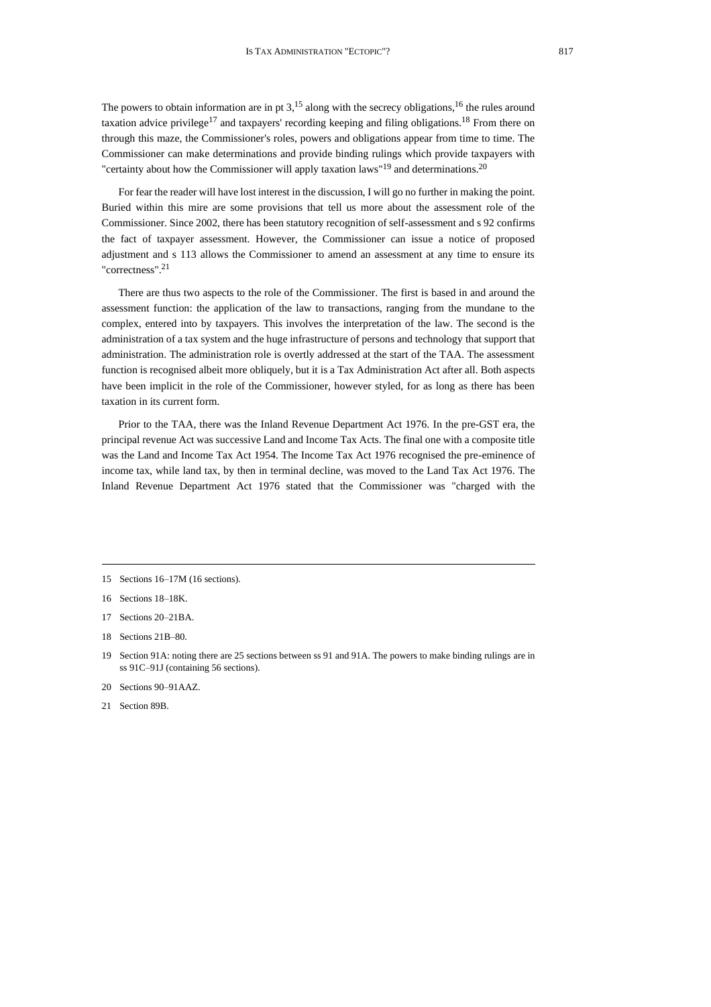The powers to obtain information are in pt  $3<sup>15</sup>$  along with the secrecy obligations,<sup>16</sup> the rules around taxation advice privilege<sup>17</sup> and taxpayers' recording keeping and filing obligations.<sup>18</sup> From there on through this maze, the Commissioner's roles, powers and obligations appear from time to time. The Commissioner can make determinations and provide binding rulings which provide taxpayers with "certainty about how the Commissioner will apply taxation laws"<sup>19</sup> and determinations.<sup>20</sup>

For fear the reader will have lost interest in the discussion, I will go no further in making the point. Buried within this mire are some provisions that tell us more about the assessment role of the Commissioner. Since 2002, there has been statutory recognition of self-assessment and s 92 confirms the fact of taxpayer assessment. However, the Commissioner can issue a notice of proposed adjustment and s 113 allows the Commissioner to amend an assessment at any time to ensure its "correctness". 21

There are thus two aspects to the role of the Commissioner. The first is based in and around the assessment function: the application of the law to transactions, ranging from the mundane to the complex, entered into by taxpayers. This involves the interpretation of the law. The second is the administration of a tax system and the huge infrastructure of persons and technology that support that administration. The administration role is overtly addressed at the start of the TAA. The assessment function is recognised albeit more obliquely, but it is a Tax Administration Act after all. Both aspects have been implicit in the role of the Commissioner, however styled, for as long as there has been taxation in its current form.

Prior to the TAA, there was the Inland Revenue Department Act 1976. In the pre-GST era, the principal revenue Act was successive Land and Income Tax Acts. The final one with a composite title was the Land and Income Tax Act 1954. The Income Tax Act 1976 recognised the pre-eminence of income tax, while land tax, by then in terminal decline, was moved to the Land Tax Act 1976. The Inland Revenue Department Act 1976 stated that the Commissioner was "charged with the

- 16 Sections 18–18K.
- 17 Sections 20–21BA.
- 18 Sections 21B–80.

- 20 Sections 90–91AAZ.
- 21 Section 89B.

<sup>15</sup> Sections 16–17M (16 sections).

<sup>19</sup> Section 91A: noting there are 25 sections between ss 91 and 91A. The powers to make binding rulings are in ss 91C–91J (containing 56 sections).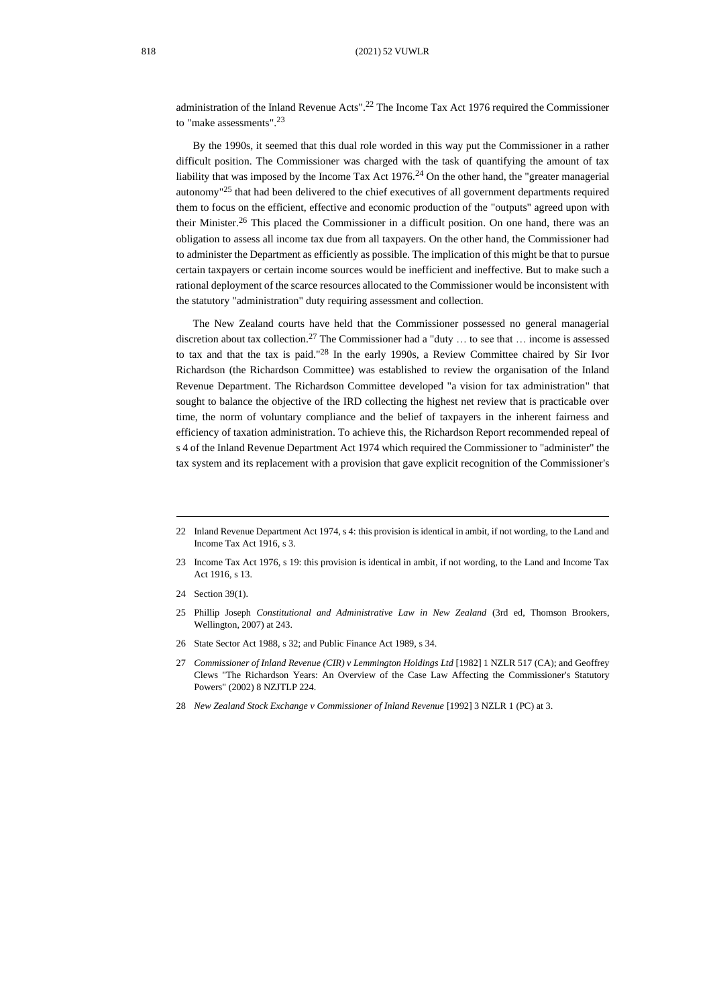administration of the Inland Revenue Acts".<sup>22</sup> The Income Tax Act 1976 required the Commissioner to "make assessments". 23

<span id="page-5-0"></span>By the 1990s, it seemed that this dual role worded in this way put the Commissioner in a rather difficult position. The Commissioner was charged with the task of quantifying the amount of tax liability that was imposed by the Income Tax Act  $1976<sup>24</sup>$  On the other hand, the "greater managerial autonomy"<sup>25</sup> that had been delivered to the chief executives of all government departments required them to focus on the efficient, effective and economic production of the "outputs" agreed upon with their Minister.<sup>26</sup> This placed the Commissioner in a difficult position. On one hand, there was an obligation to assess all income tax due from all taxpayers. On the other hand, the Commissioner had to administer the Department as efficiently as possible. The implication of this might be that to pursue certain taxpayers or certain income sources would be inefficient and ineffective. But to make such a rational deployment of the scarce resources allocated to the Commissioner would be inconsistent with the statutory "administration" duty requiring assessment and collection.

The New Zealand courts have held that the Commissioner possessed no general managerial discretion about tax collection.<sup>27</sup> The Commissioner had a "duty ... to see that ... income is assessed to tax and that the tax is paid." <sup>28</sup> In the early 1990s, a Review Committee chaired by Sir Ivor Richardson (the Richardson Committee) was established to review the organisation of the Inland Revenue Department. The Richardson Committee developed "a vision for tax administration" that sought to balance the objective of the IRD collecting the highest net review that is practicable over time, the norm of voluntary compliance and the belief of taxpayers in the inherent fairness and efficiency of taxation administration. To achieve this, the Richardson Report recommended repeal of s 4 of the Inland Revenue Department Act 1974 which required the Commissioner to "administer" the tax system and its replacement with a provision that gave explicit recognition of the Commissioner's

26 State Sector Act 1988, s 32; and Public Finance Act 1989, s 34.

28 *New Zealand Stock Exchange v Commissioner of Inland Revenue* [1992] 3 NZLR 1 (PC) at 3.

<sup>22</sup> Inland Revenue Department Act 1974, s 4: this provision is identical in ambit, if not wording, to the Land and Income Tax Act 1916, s 3.

<sup>23</sup> Income Tax Act 1976, s 19: this provision is identical in ambit, if not wording, to the Land and Income Tax Act 1916, s 13.

<sup>24</sup> Section 39(1).

<sup>25</sup> Phillip Joseph *Constitutional and Administrative Law in New Zealand* (3rd ed, Thomson Brookers, Wellington, 2007) at 243.

<sup>27</sup> *Commissioner of Inland Revenue (CIR) v Lemmington Holdings Ltd* [1982] 1 NZLR 517 (CA); and Geoffrey Clews "The Richardson Years: An Overview of the Case Law Affecting the Commissioner's Statutory Powers" (2002) 8 NZJTLP 224.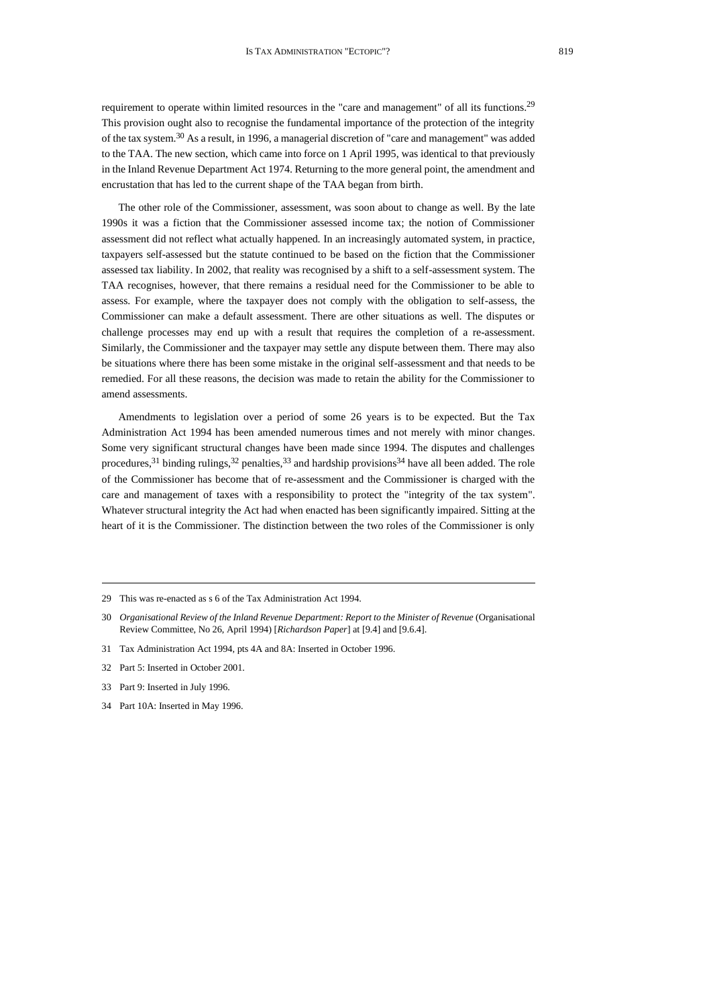<span id="page-6-0"></span>requirement to operate within limited resources in the "care and management" of all its functions.<sup>29</sup> This provision ought also to recognise the fundamental importance of the protection of the integrity of the tax system.<sup>30</sup> As a result, in 1996, a managerial discretion of "care and management" was added to the TAA. The new section, which came into force on 1 April 1995, was identical to that previously in the Inland Revenue Department Act 1974. Returning to the more general point, the amendment and encrustation that has led to the current shape of the TAA began from birth.

The other role of the Commissioner, assessment, was soon about to change as well. By the late 1990s it was a fiction that the Commissioner assessed income tax; the notion of Commissioner assessment did not reflect what actually happened. In an increasingly automated system, in practice, taxpayers self-assessed but the statute continued to be based on the fiction that the Commissioner assessed tax liability. In 2002, that reality was recognised by a shift to a self-assessment system. The TAA recognises, however, that there remains a residual need for the Commissioner to be able to assess. For example, where the taxpayer does not comply with the obligation to self-assess, the Commissioner can make a default assessment. There are other situations as well. The disputes or challenge processes may end up with a result that requires the completion of a re-assessment. Similarly, the Commissioner and the taxpayer may settle any dispute between them. There may also be situations where there has been some mistake in the original self-assessment and that needs to be remedied. For all these reasons, the decision was made to retain the ability for the Commissioner to amend assessments.

Amendments to legislation over a period of some 26 years is to be expected. But the Tax Administration Act 1994 has been amended numerous times and not merely with minor changes. Some very significant structural changes have been made since 1994. The disputes and challenges procedures,<sup>31</sup> binding rulings,<sup>32</sup> penalties,<sup>33</sup> and hardship provisions<sup>34</sup> have all been added. The role of the Commissioner has become that of re-assessment and the Commissioner is charged with the care and management of taxes with a responsibility to protect the "integrity of the tax system". Whatever structural integrity the Act had when enacted has been significantly impaired. Sitting at the heart of it is the Commissioner. The distinction between the two roles of the Commissioner is only

- 31 Tax Administration Act 1994, pts 4A and 8A: Inserted in October 1996.
- 32 Part 5: Inserted in October 2001.
- 33 Part 9: Inserted in July 1996.
- 34 Part 10A: Inserted in May 1996.

<sup>29</sup> This was re-enacted as s 6 of the Tax Administration Act 1994.

<sup>30</sup> *Organisational Review of the Inland Revenue Department: Report to the Minister of Revenue* (Organisational Review Committee, No 26, April 1994) [*Richardson Paper*] at [9.4] and [9.6.4].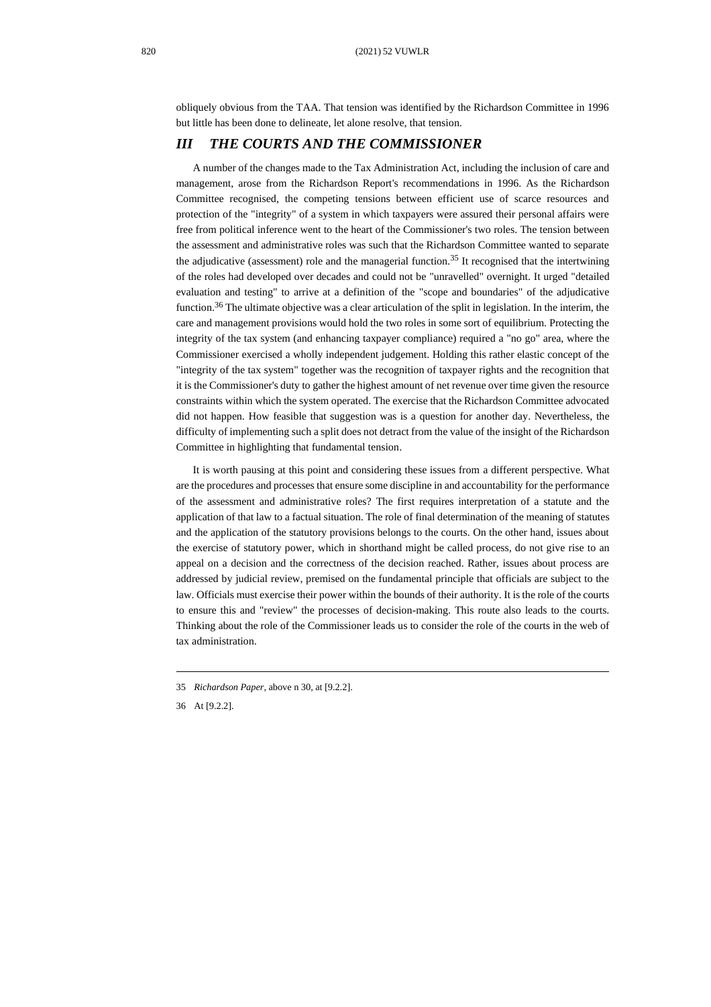obliquely obvious from the TAA. That tension was identified by the Richardson Committee in 1996 but little has been done to delineate, let alone resolve, that tension.

#### *III THE COURTS AND THE COMMISSIONER*

A number of the changes made to the Tax Administration Act, including the inclusion of care and management, arose from the Richardson Report's recommendations in 1996. As the Richardson Committee recognised, the competing tensions between efficient use of scarce resources and protection of the "integrity" of a system in which taxpayers were assured their personal affairs were free from political inference went to the heart of the Commissioner's two roles. The tension between the assessment and administrative roles was such that the Richardson Committee wanted to separate the adjudicative (assessment) role and the managerial function.<sup>35</sup> It recognised that the intertwining of the roles had developed over decades and could not be "unravelled" overnight. It urged "detailed evaluation and testing" to arrive at a definition of the "scope and boundaries" of the adjudicative function.<sup>36</sup> The ultimate objective was a clear articulation of the split in legislation. In the interim, the care and management provisions would hold the two roles in some sort of equilibrium. Protecting the integrity of the tax system (and enhancing taxpayer compliance) required a "no go" area, where the Commissioner exercised a wholly independent judgement. Holding this rather elastic concept of the "integrity of the tax system" together was the recognition of taxpayer rights and the recognition that it is the Commissioner's duty to gather the highest amount of net revenue over time given the resource constraints within which the system operated. The exercise that the Richardson Committee advocated did not happen. How feasible that suggestion was is a question for another day. Nevertheless, the difficulty of implementing such a split does not detract from the value of the insight of the Richardson Committee in highlighting that fundamental tension.

It is worth pausing at this point and considering these issues from a different perspective. What are the procedures and processes that ensure some discipline in and accountability for the performance of the assessment and administrative roles? The first requires interpretation of a statute and the application of that law to a factual situation. The role of final determination of the meaning of statutes and the application of the statutory provisions belongs to the courts. On the other hand, issues about the exercise of statutory power, which in shorthand might be called process, do not give rise to an appeal on a decision and the correctness of the decision reached. Rather, issues about process are addressed by judicial review, premised on the fundamental principle that officials are subject to the law. Officials must exercise their power within the bounds of their authority. It is the role of the courts to ensure this and "review" the processes of decision-making. This route also leads to the courts. Thinking about the role of the Commissioner leads us to consider the role of the courts in the web of tax administration.

<sup>35</sup> *Richardson Paper*, above [n 30,](#page-6-0) at [9.2.2].

<sup>36</sup> At [9.2.2].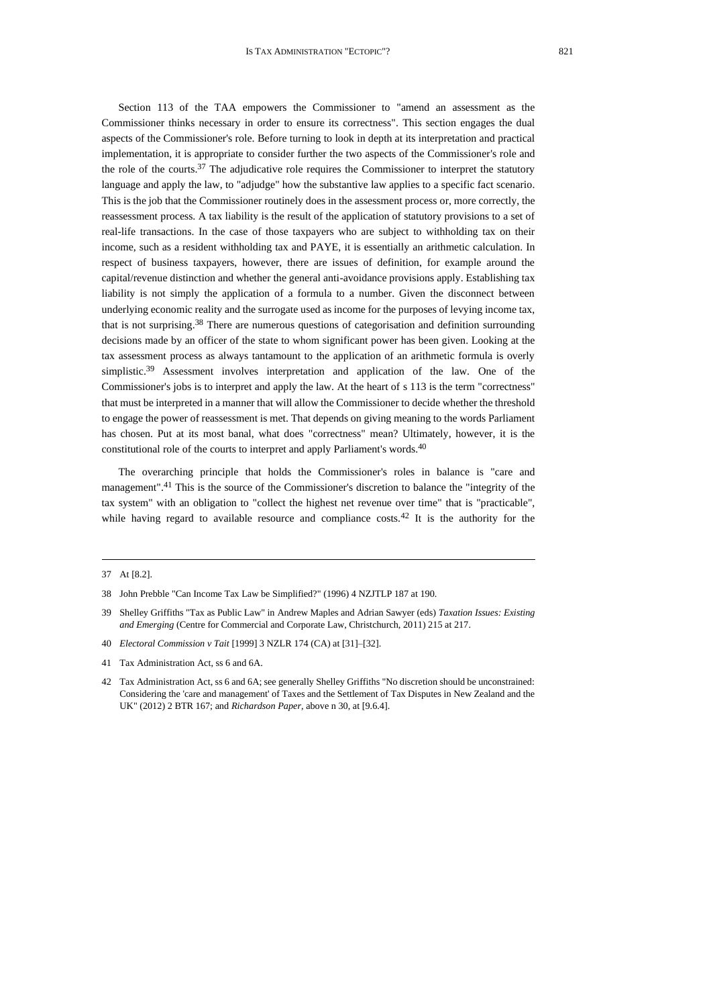Section 113 of the TAA empowers the Commissioner to "amend an assessment as the Commissioner thinks necessary in order to ensure its correctness". This section engages the dual aspects of the Commissioner's role. Before turning to look in depth at its interpretation and practical implementation, it is appropriate to consider further the two aspects of the Commissioner's role and the role of the courts.<sup>37</sup> The adjudicative role requires the Commissioner to interpret the statutory language and apply the law, to "adjudge" how the substantive law applies to a specific fact scenario. This is the job that the Commissioner routinely does in the assessment process or, more correctly, the reassessment process. A tax liability is the result of the application of statutory provisions to a set of real-life transactions. In the case of those taxpayers who are subject to withholding tax on their income, such as a resident withholding tax and PAYE, it is essentially an arithmetic calculation. In respect of business taxpayers, however, there are issues of definition, for example around the capital/revenue distinction and whether the general anti-avoidance provisions apply. Establishing tax liability is not simply the application of a formula to a number. Given the disconnect between underlying economic reality and the surrogate used as income for the purposes of levying income tax, that is not surprising.<sup>38</sup> There are numerous questions of categorisation and definition surrounding decisions made by an officer of the state to whom significant power has been given. Looking at the tax assessment process as always tantamount to the application of an arithmetic formula is overly simplistic.<sup>39</sup> Assessment involves interpretation and application of the law. One of the Commissioner's jobs is to interpret and apply the law. At the heart of s 113 is the term "correctness" that must be interpreted in a manner that will allow the Commissioner to decide whether the threshold to engage the power of reassessment is met. That depends on giving meaning to the words Parliament has chosen. Put at its most banal, what does "correctness" mean? Ultimately, however, it is the constitutional role of the courts to interpret and apply Parliament's words.<sup>40</sup>

The overarching principle that holds the Commissioner's roles in balance is "care and management". <sup>41</sup> This is the source of the Commissioner's discretion to balance the "integrity of the tax system" with an obligation to "collect the highest net revenue over time" that is "practicable", while having regard to available resource and compliance costs.<sup>42</sup> It is the authority for the

<sup>37</sup> At [8.2].

<sup>38</sup> John Prebble "Can Income Tax Law be Simplified?" (1996) 4 NZJTLP 187 at 190.

<sup>39</sup> Shelley Griffiths "Tax as Public Law" in Andrew Maples and Adrian Sawyer (eds) *Taxation Issues: Existing and Emerging* (Centre for Commercial and Corporate Law, Christchurch, 2011) 215 at 217.

<sup>40</sup> *Electoral Commission v Tait* [1999] 3 NZLR 174 (CA) at [31]–[32].

<sup>41</sup> Tax Administration Act, ss 6 and 6A.

<sup>42</sup> Tax Administration Act, ss 6 and 6A; see generally Shelley Griffiths "No discretion should be unconstrained: Considering the 'care and management' of Taxes and the Settlement of Tax Disputes in New Zealand and the UK" (2012) 2 BTR 167; and *Richardson Paper*, above [n 30,](#page-6-0) at [9.6.4].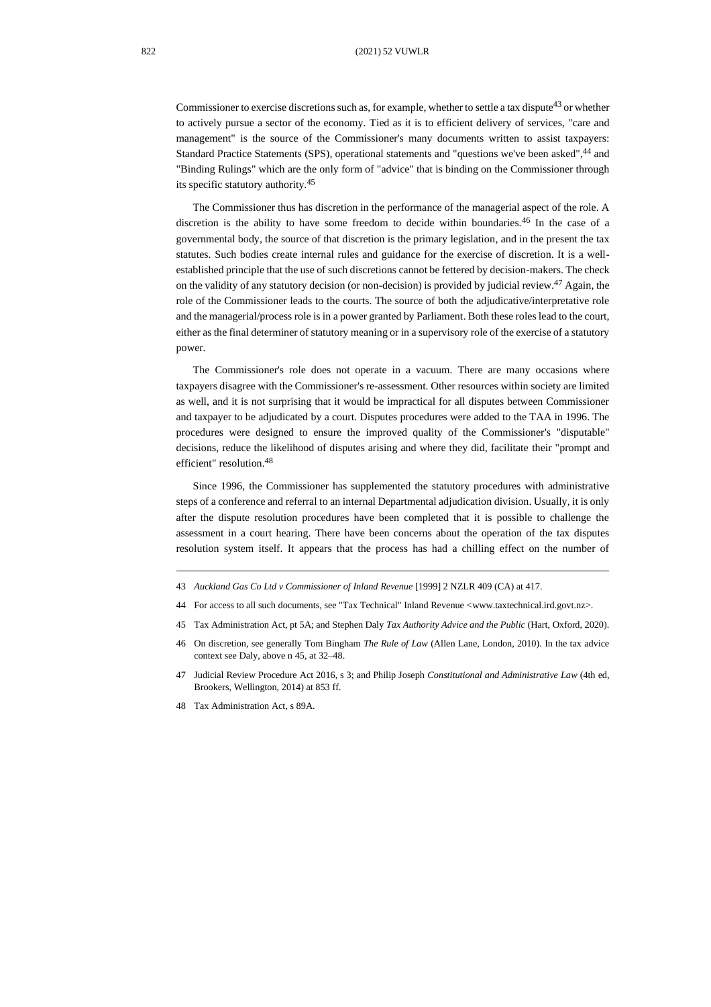Commissioner to exercise discretions such as, for example, whether to settle a tax dispute<sup>43</sup> or whether to actively pursue a sector of the economy. Tied as it is to efficient delivery of services, "care and management" is the source of the Commissioner's many documents written to assist taxpayers: Standard Practice Statements (SPS), operational statements and "questions we've been asked", <sup>44</sup> and "Binding Rulings" which are the only form of "advice" that is binding on the Commissioner through its specific statutory authority.<sup>45</sup>

<span id="page-9-0"></span>The Commissioner thus has discretion in the performance of the managerial aspect of the role. A discretion is the ability to have some freedom to decide within boundaries.<sup>46</sup> In the case of a governmental body, the source of that discretion is the primary legislation, and in the present the tax statutes. Such bodies create internal rules and guidance for the exercise of discretion. It is a wellestablished principle that the use of such discretions cannot be fettered by decision-makers. The check on the validity of any statutory decision (or non-decision) is provided by judicial review.<sup>47</sup> Again, the role of the Commissioner leads to the courts. The source of both the adjudicative/interpretative role and the managerial/process role is in a power granted by Parliament. Both these roles lead to the court, either as the final determiner of statutory meaning or in a supervisory role of the exercise of a statutory power.

The Commissioner's role does not operate in a vacuum. There are many occasions where taxpayers disagree with the Commissioner's re-assessment. Other resources within society are limited as well, and it is not surprising that it would be impractical for all disputes between Commissioner and taxpayer to be adjudicated by a court. Disputes procedures were added to the TAA in 1996. The procedures were designed to ensure the improved quality of the Commissioner's "disputable" decisions, reduce the likelihood of disputes arising and where they did, facilitate their "prompt and efficient" resolution.<sup>48</sup>

Since 1996, the Commissioner has supplemented the statutory procedures with administrative steps of a conference and referral to an internal Departmental adjudication division. Usually, it is only after the dispute resolution procedures have been completed that it is possible to challenge the assessment in a court hearing. There have been concerns about the operation of the tax disputes resolution system itself. It appears that the process has had a chilling effect on the number of

- 43 *Auckland Gas Co Ltd v Commissioner of Inland Revenue* [1999] 2 NZLR 409 (CA) at 417.
- 44 For access to all such documents, see "Tax Technical" Inland Revenue <www.taxtechnical.ird.govt.nz>.
- 45 Tax Administration Act, pt 5A; and Stephen Daly *Tax Authority Advice and the Public* (Hart, Oxford, 2020).
- 46 On discretion, see generally Tom Bingham *The Rule of Law* (Allen Lane, London, 2010). In the tax advice context see Daly, above n [45,](#page-9-0) at 32–48.
- 47 Judicial Review Procedure Act 2016, s 3; and Philip Joseph *Constitutional and Administrative Law* (4th ed, Brookers, Wellington, 2014) at 853 ff.
- 48 Tax Administration Act, s 89A.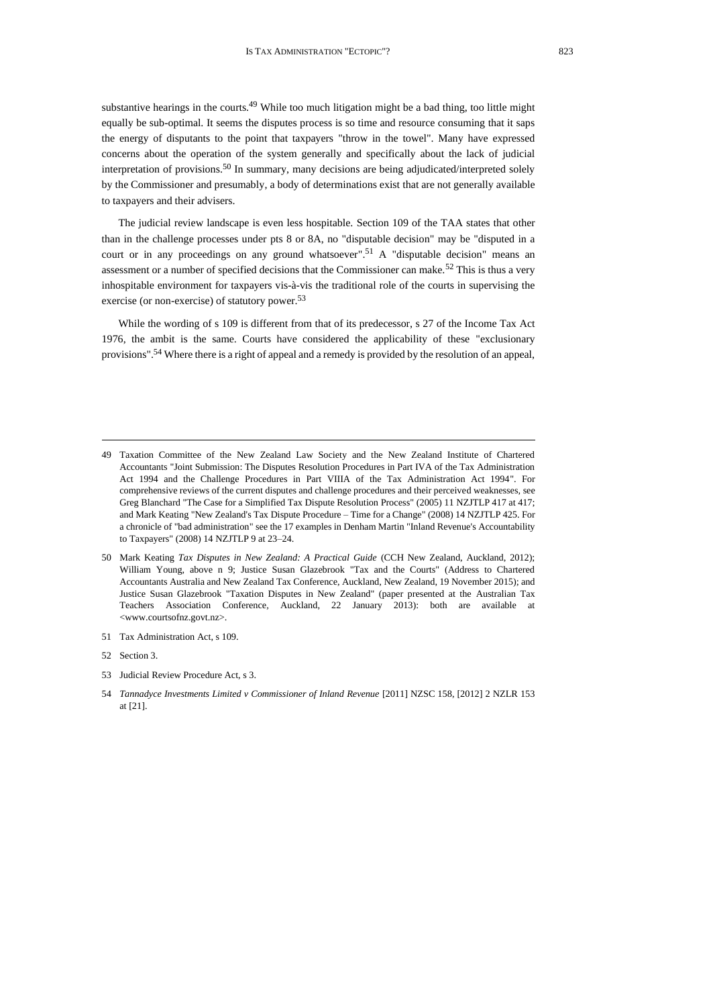substantive hearings in the courts.<sup>49</sup> While too much litigation might be a bad thing, too little might equally be sub-optimal. It seems the disputes process is so time and resource consuming that it saps the energy of disputants to the point that taxpayers "throw in the towel". Many have expressed concerns about the operation of the system generally and specifically about the lack of judicial interpretation of provisions.<sup>50</sup> In summary, many decisions are being adjudicated/interpreted solely by the Commissioner and presumably, a body of determinations exist that are not generally available to taxpayers and their advisers.

<span id="page-10-1"></span>The judicial review landscape is even less hospitable. Section 109 of the TAA states that other than in the challenge processes under pts 8 or 8A, no "disputable decision" may be "disputed in a court or in any proceedings on any ground whatsoever". <sup>51</sup> A "disputable decision" means an assessment or a number of specified decisions that the Commissioner can make.<sup>52</sup> This is thus a very inhospitable environment for taxpayers vis-à-vis the traditional role of the courts in supervising the exercise (or non-exercise) of statutory power.<sup>53</sup>

<span id="page-10-0"></span>While the wording of s 109 is different from that of its predecessor, s 27 of the Income Tax Act 1976, the ambit is the same. Courts have considered the applicability of these "exclusionary provisions".<sup>54</sup> Where there is a right of appeal and a remedy is provided by the resolution of an appeal,

<sup>49</sup> Taxation Committee of the New Zealand Law Society and the New Zealand Institute of Chartered Accountants "Joint Submission: The Disputes Resolution Procedures in Part IVA of the Tax Administration Act 1994 and the Challenge Procedures in Part VIIIA of the Tax Administration Act 1994". For comprehensive reviews of the current disputes and challenge procedures and their perceived weaknesses, see Greg Blanchard "The Case for a Simplified Tax Dispute Resolution Process" (2005) 11 NZJTLP 417 at 417; and Mark Keating "New Zealand's Tax Dispute Procedure – Time for a Change" (2008) 14 NZJTLP 425. For a chronicle of "bad administration" see the 17 examples in Denham Martin "Inland Revenue's Accountability to Taxpayers" (2008) 14 NZJTLP 9 at 23–24.

<sup>50</sup> Mark Keating *Tax Disputes in New Zealand: A Practical Guide* (CCH New Zealand, Auckland, 2012); William Young, above n [9;](#page-2-0) Justice Susan Glazebrook "Tax and the Courts" (Address to Chartered Accountants Australia and New Zealand Tax Conference, Auckland, New Zealand, 19 November 2015); and Justice Susan Glazebrook "Taxation Disputes in New Zealand" (paper presented at the Australian Tax Teachers Association Conference*,* Auckland, 22 January 2013): both are available at <www.courtsofnz.govt.nz>.

<sup>51</sup> Tax Administration Act, s 109.

<sup>52</sup> Section 3.

<sup>53</sup> Judicial Review Procedure Act, s 3.

<sup>54</sup> *Tannadyce Investments Limited v Commissioner of Inland Revenue* [2011] NZSC 158, [2012] 2 NZLR 153 at [21].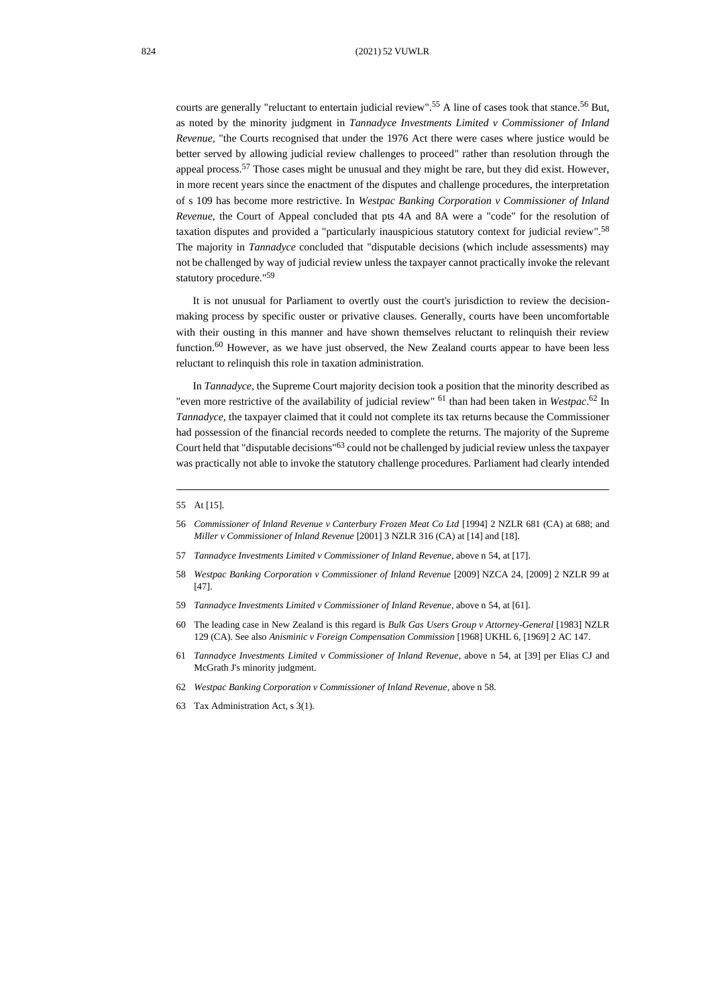courts are generally "reluctant to entertain judicial review". <sup>55</sup> A line of cases took that stance. <sup>56</sup> But, as noted by the minority judgment in *Tannadyce Investments Limited v Commissioner of Inland Revenue*, "the Courts recognised that under the 1976 Act there were cases where justice would be better served by allowing judicial review challenges to proceed" rather than resolution through the appeal process.<sup>57</sup> Those cases might be unusual and they might be rare, but they did exist. However, in more recent years since the enactment of the disputes and challenge procedures, the interpretation of s 109 has become more restrictive. In *Westpac Banking Corporation v Commissioner of Inland Revenue*, the Court of Appeal concluded that pts 4A and 8A were a "code" for the resolution of taxation disputes and provided a "particularly inauspicious statutory context for judicial review".<sup>58</sup> The majority in *Tannadyce* concluded that "disputable decisions (which include assessments) may not be challenged by way of judicial review unless the taxpayer cannot practically invoke the relevant statutory procedure." 59

<span id="page-11-0"></span>It is not unusual for Parliament to overtly oust the court's jurisdiction to review the decisionmaking process by specific ouster or privative clauses. Generally, courts have been uncomfortable with their ousting in this manner and have shown themselves reluctant to relinquish their review function. $60$  However, as we have just observed, the New Zealand courts appear to have been less reluctant to relinquish this role in taxation administration.

In *Tannadyce,* the Supreme Court majority decision took a position that the minority described as "even more restrictive of the availability of judicial review" <sup>61</sup> than had been taken in *Westpac*.<sup>62</sup> In *Tannadyce,* the taxpayer claimed that it could not complete its tax returns because the Commissioner had possession of the financial records needed to complete the returns. The majority of the Supreme Court held that "disputable decisions" <sup>63</sup> could not be challenged by judicial review unless the taxpayer was practically not able to invoke the statutory challenge procedures. Parliament had clearly intended

- 57 *Tannadyce Investments Limited v Commissioner of Inland Revenue*, above n [54,](#page-10-0) at [17].
- 58 *Westpac Banking Corporation v Commissioner of Inland Revenue* [2009] NZCA 24, [2009] 2 NZLR 99 at [47].
- 59 *Tannadyce Investments Limited v Commissioner of Inland Revenue*, above n [54,](#page-10-0) at [61].
- 60 The leading case in New Zealand is this regard is *Bulk Gas Users Group v Attorney-General* [1983] NZLR 129 (CA). See also *Anisminic v Foreign Compensation Commission* [1968] UKHL 6, [1969] 2 AC 147.
- 61 *Tannadyce Investments Limited v Commissioner of Inland Revenue*, above n [54,](#page-10-0) at [39] per Elias CJ and McGrath J's minority judgment.
- 62 *Westpac Banking Corporation v Commissioner of Inland Revenue*, above [n 58.](#page-11-0)
- 63 Tax Administration Act, s 3(1).

<sup>55</sup> At [15].

<sup>56</sup> *Commissioner of Inland Revenue v Canterbury Frozen Meat Co Ltd* [1994] 2 NZLR 681 (CA) at 688; and *Miller v Commissioner of Inland Revenue* [2001] 3 NZLR 316 (CA) at [14] and [18].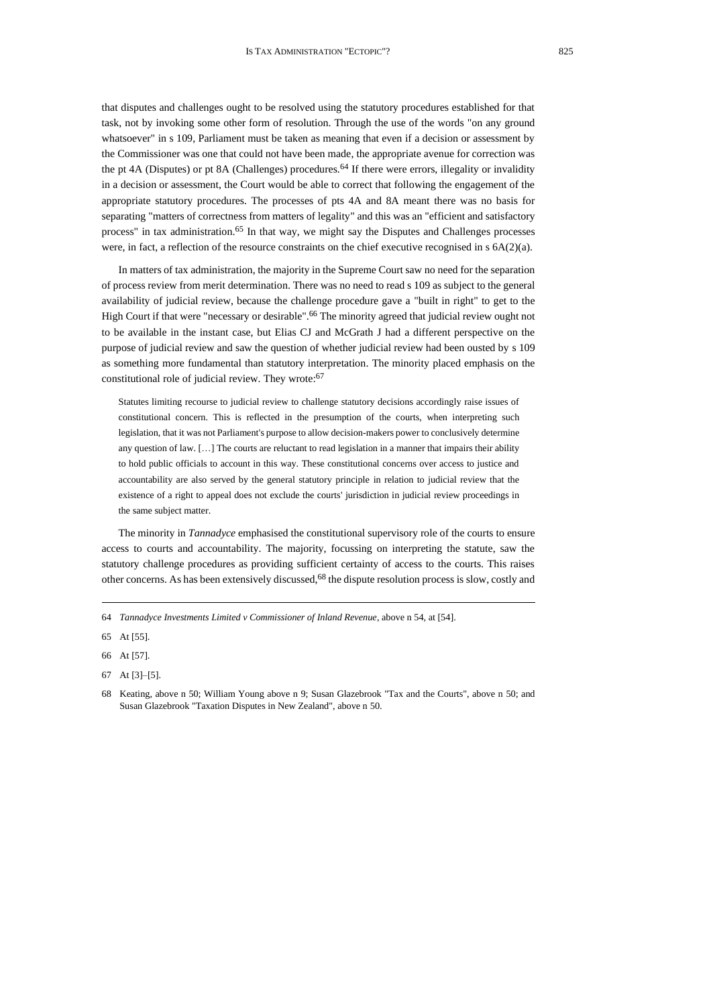that disputes and challenges ought to be resolved using the statutory procedures established for that task, not by invoking some other form of resolution. Through the use of the words "on any ground whatsoever" in s 109, Parliament must be taken as meaning that even if a decision or assessment by the Commissioner was one that could not have been made, the appropriate avenue for correction was the pt 4A (Disputes) or pt 8A (Challenges) procedures.<sup>64</sup> If there were errors, illegality or invalidity in a decision or assessment, the Court would be able to correct that following the engagement of the appropriate statutory procedures. The processes of pts 4A and 8A meant there was no basis for separating "matters of correctness from matters of legality" and this was an "efficient and satisfactory process" in tax administration.<sup>65</sup> In that way, we might say the Disputes and Challenges processes were, in fact, a reflection of the resource constraints on the chief executive recognised in  $s$  6A(2)(a).

In matters of tax administration, the majority in the Supreme Court saw no need for the separation of process review from merit determination. There was no need to read s 109 as subject to the general availability of judicial review, because the challenge procedure gave a "built in right" to get to the High Court if that were "necessary or desirable". <sup>66</sup> The minority agreed that judicial review ought not to be available in the instant case, but Elias CJ and McGrath J had a different perspective on the purpose of judicial review and saw the question of whether judicial review had been ousted by s 109 as something more fundamental than statutory interpretation. The minority placed emphasis on the constitutional role of judicial review. They wrote:<sup>67</sup>

Statutes limiting recourse to judicial review to challenge statutory decisions accordingly raise issues of constitutional concern. This is reflected in the presumption of the courts, when interpreting such legislation, that it was not Parliament's purpose to allow decision-makers power to conclusively determine any question of law. […] The courts are reluctant to read legislation in a manner that impairs their ability to hold public officials to account in this way. These constitutional concerns over access to justice and accountability are also served by the general statutory principle in relation to judicial review that the existence of a right to appeal does not exclude the courts' jurisdiction in judicial review proceedings in the same subject matter.

The minority in *Tannadyce* emphasised the constitutional supervisory role of the courts to ensure access to courts and accountability. The majority, focussing on interpreting the statute, saw the statutory challenge procedures as providing sufficient certainty of access to the courts. This raises other concerns. As has been extensively discussed,<sup>68</sup> the dispute resolution process is slow, costly and

<sup>64</sup> *Tannadyce Investments Limited v Commissioner of Inland Revenue*, above [n 54,](#page-10-0) at [54].

<sup>65</sup> At [55].

<sup>66</sup> At [57].

<sup>67</sup> At [3]–[5].

<sup>68</sup> Keating, above n [50;](#page-10-1) William Young above [n 9;](#page-2-0) Susan Glazebrook "Tax and the Courts", above n [50;](#page-10-1) and Susan Glazebrook "Taxation Disputes in New Zealand", above [n 50.](#page-10-1)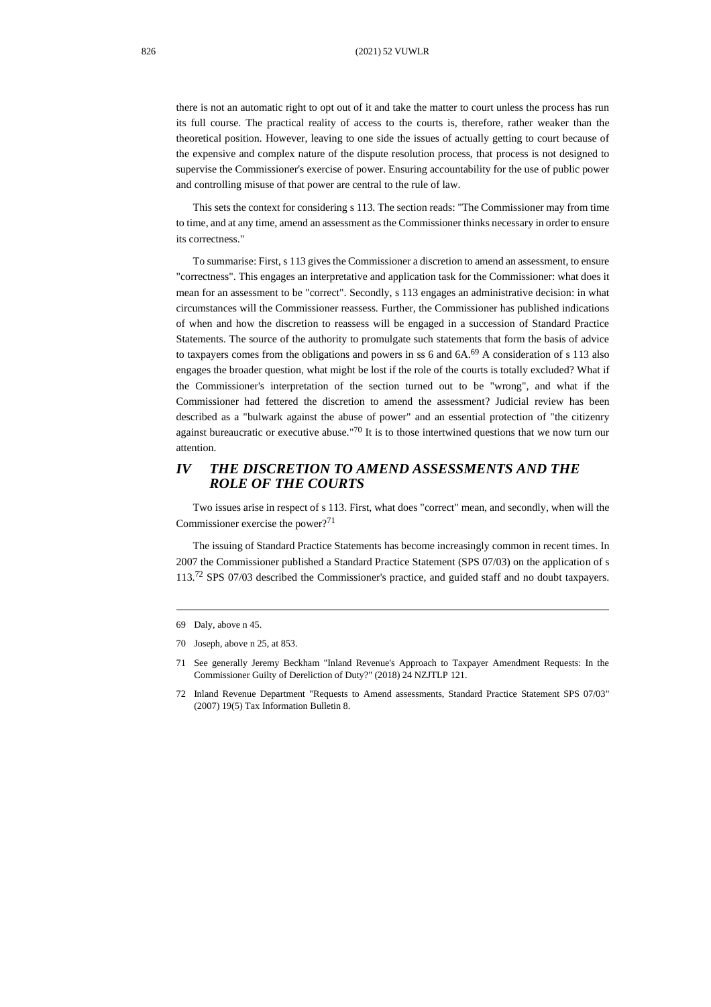there is not an automatic right to opt out of it and take the matter to court unless the process has run its full course. The practical reality of access to the courts is, therefore, rather weaker than the theoretical position. However, leaving to one side the issues of actually getting to court because of the expensive and complex nature of the dispute resolution process, that process is not designed to supervise the Commissioner's exercise of power. Ensuring accountability for the use of public power and controlling misuse of that power are central to the rule of law.

This sets the context for considering s 113. The section reads: "The Commissioner may from time to time, and at any time, amend an assessment as the Commissioner thinks necessary in order to ensure its correctness."

To summarise: First, s 113 gives the Commissioner a discretion to amend an assessment, to ensure "correctness". This engages an interpretative and application task for the Commissioner: what does it mean for an assessment to be "correct". Secondly, s 113 engages an administrative decision: in what circumstances will the Commissioner reassess. Further, the Commissioner has published indications of when and how the discretion to reassess will be engaged in a succession of Standard Practice Statements. The source of the authority to promulgate such statements that form the basis of advice to taxpayers comes from the obligations and powers in ss 6 and  $6A<sup>69</sup>$  A consideration of s 113 also engages the broader question, what might be lost if the role of the courts is totally excluded? What if the Commissioner's interpretation of the section turned out to be "wrong", and what if the Commissioner had fettered the discretion to amend the assessment? Judicial review has been described as a "bulwark against the abuse of power" and an essential protection of "the citizenry against bureaucratic or executive abuse."<sup>70</sup> It is to those intertwined questions that we now turn our attention.

# *IV THE DISCRETION TO AMEND ASSESSMENTS AND THE ROLE OF THE COURTS*

Two issues arise in respect of s 113. First, what does "correct" mean, and secondly, when will the Commissioner exercise the power?<sup>71</sup>

<span id="page-13-0"></span>The issuing of Standard Practice Statements has become increasingly common in recent times. In 2007 the Commissioner published a Standard Practice Statement (SPS 07/03) on the application of s 113.<sup>72</sup> SPS 07/03 described the Commissioner's practice, and guided staff and no doubt taxpayers.

<sup>69</sup> Daly, above [n 45.](#page-9-0)

<sup>70</sup> Joseph, above [n 25,](#page-5-0) at 853.

<sup>71</sup> See generally Jeremy Beckham "Inland Revenue's Approach to Taxpayer Amendment Requests: In the Commissioner Guilty of Dereliction of Duty?" (2018) 24 NZJTLP 121.

<sup>72</sup> Inland Revenue Department "Requests to Amend assessments, Standard Practice Statement SPS 07/03" (2007) 19(5) Tax Information Bulletin 8.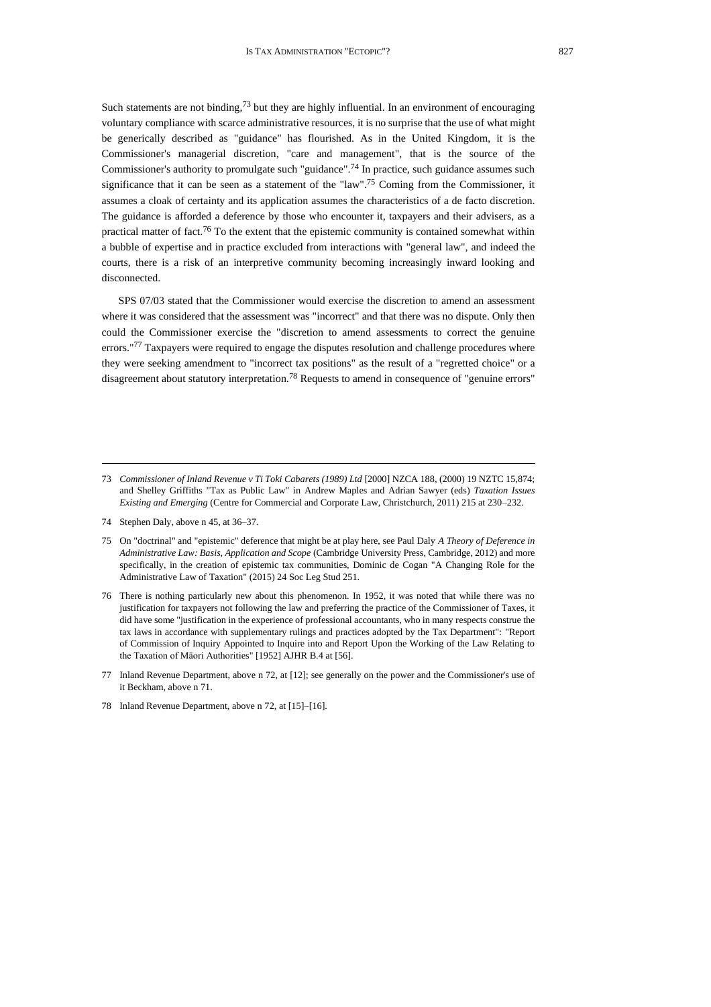Such statements are not binding, $7<sup>3</sup>$  but they are highly influential. In an environment of encouraging voluntary compliance with scarce administrative resources, it is no surprise that the use of what might be generically described as "guidance" has flourished. As in the United Kingdom, it is the Commissioner's managerial discretion, "care and management", that is the source of the Commissioner's authority to promulgate such "guidance". <sup>74</sup> In practice, such guidance assumes such significance that it can be seen as a statement of the "law". <sup>75</sup> Coming from the Commissioner, it assumes a cloak of certainty and its application assumes the characteristics of a de facto discretion. The guidance is afforded a deference by those who encounter it, taxpayers and their advisers, as a practical matter of fact.<sup>76</sup> To the extent that the epistemic community is contained somewhat within a bubble of expertise and in practice excluded from interactions with "general law", and indeed the courts, there is a risk of an interpretive community becoming increasingly inward looking and disconnected.

SPS 07/03 stated that the Commissioner would exercise the discretion to amend an assessment where it was considered that the assessment was "incorrect" and that there was no dispute. Only then could the Commissioner exercise the "discretion to amend assessments to correct the genuine errors."<sup>77</sup> Taxpayers were required to engage the disputes resolution and challenge procedures where they were seeking amendment to "incorrect tax positions" as the result of a "regretted choice" or a disagreement about statutory interpretation.<sup>78</sup> Requests to amend in consequence of "genuine errors"

- 74 Stephen Daly, above [n 45,](#page-9-0) at 36–37.
- 75 On "doctrinal" and "epistemic" deference that might be at play here, see Paul Daly *A Theory of Deference in Administrative Law: Basis, Application and Scope* (Cambridge University Press, Cambridge, 2012) and more specifically, in the creation of epistemic tax communities, Dominic de Cogan "A Changing Role for the Administrative Law of Taxation" (2015) 24 Soc Leg Stud 251.
- 76 There is nothing particularly new about this phenomenon. In 1952, it was noted that while there was no justification for taxpayers not following the law and preferring the practice of the Commissioner of Taxes, it did have some "justification in the experience of professional accountants, who in many respects construe the tax laws in accordance with supplementary rulings and practices adopted by the Tax Department": "Report of Commission of Inquiry Appointed to Inquire into and Report Upon the Working of the Law Relating to the Taxation of Māori Authorities" [1952] AJHR B.4 at [56].
- 77 Inland Revenue Department, above [n 72,](#page-13-0) at [12]; see generally on the power and the Commissioner's use of it Beckham, above n 71.

<sup>73</sup> *Commissioner of Inland Revenue v Ti Toki Cabarets (1989) Ltd* [2000] NZCA 188, (2000) 19 NZTC 15,874; and Shelley Griffiths "Tax as Public Law" in Andrew Maples and Adrian Sawyer (eds) *Taxation Issues Existing and Emerging* (Centre for Commercial and Corporate Law, Christchurch, 2011) 215 at 230–232.

<sup>78</sup> Inland Revenue Department, above [n 72,](#page-13-0) at [15]–[16].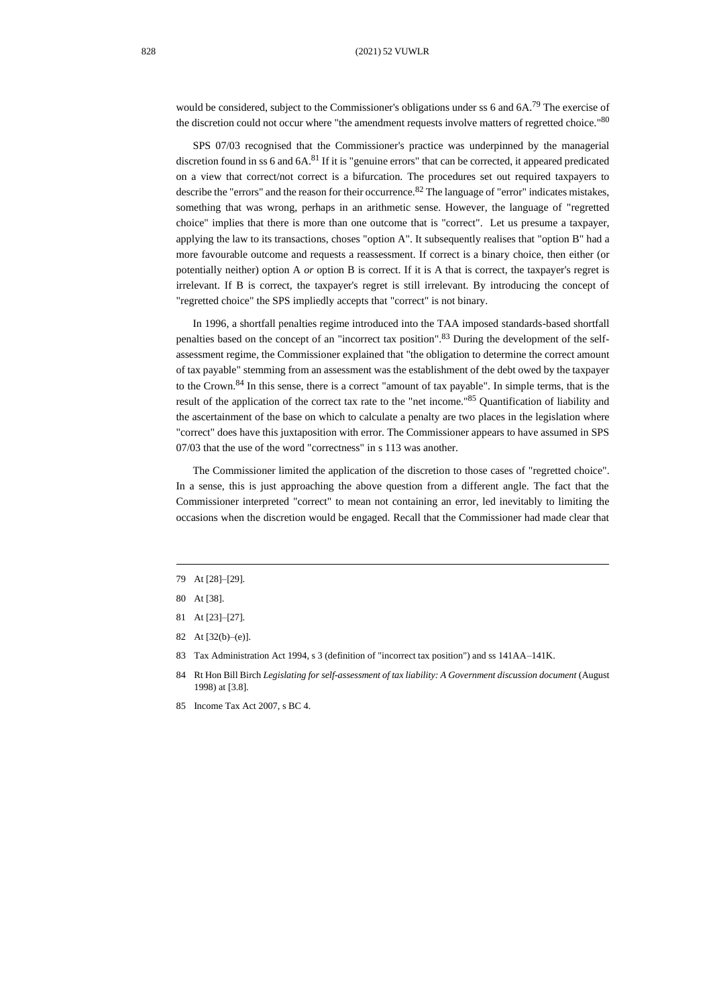would be considered, subject to the Commissioner's obligations under ss 6 and  $6A$ .<sup>79</sup> The exercise of the discretion could not occur where "the amendment requests involve matters of regretted choice."80

SPS 07/03 recognised that the Commissioner's practice was underpinned by the managerial discretion found in ss 6 and 6A.<sup>81</sup> If it is "genuine errors" that can be corrected, it appeared predicated on a view that correct/not correct is a bifurcation. The procedures set out required taxpayers to describe the "errors" and the reason for their occurrence.<sup>82</sup> The language of "error" indicates mistakes, something that was wrong, perhaps in an arithmetic sense. However, the language of "regretted choice" implies that there is more than one outcome that is "correct". Let us presume a taxpayer, applying the law to its transactions, choses "option A". It subsequently realises that "option B" had a more favourable outcome and requests a reassessment. If correct is a binary choice, then either (or potentially neither) option A *or* option B is correct. If it is A that is correct, the taxpayer's regret is irrelevant. If B is correct, the taxpayer's regret is still irrelevant. By introducing the concept of "regretted choice" the SPS impliedly accepts that "correct" is not binary.

In 1996, a shortfall penalties regime introduced into the TAA imposed standards-based shortfall penalties based on the concept of an "incorrect tax position".<sup>83</sup> During the development of the selfassessment regime, the Commissioner explained that "the obligation to determine the correct amount of tax payable" stemming from an assessment was the establishment of the debt owed by the taxpayer to the Crown.<sup>84</sup> In this sense, there is a correct "amount of tax payable". In simple terms, that is the result of the application of the correct tax rate to the "net income." <sup>85</sup> Quantification of liability and the ascertainment of the base on which to calculate a penalty are two places in the legislation where "correct" does have this juxtaposition with error. The Commissioner appears to have assumed in SPS 07/03 that the use of the word "correctness" in s 113 was another.

The Commissioner limited the application of the discretion to those cases of "regretted choice". In a sense, this is just approaching the above question from a different angle. The fact that the Commissioner interpreted "correct" to mean not containing an error, led inevitably to limiting the occasions when the discretion would be engaged. Recall that the Commissioner had made clear that

- 82 At [32(b)–(e)].
- 83 Tax Administration Act 1994, s 3 (definition of "incorrect tax position") and ss 141AA–141K.

<sup>79</sup> At [28]–[29].

<sup>80</sup> At [38].

<sup>81</sup> At [23]–[27].

<sup>84</sup> Rt Hon Bill Birch *Legislating for self-assessment of tax liability: A Government discussion document* (August 1998) at [3.8].

<sup>85</sup> Income Tax Act 2007, s BC 4.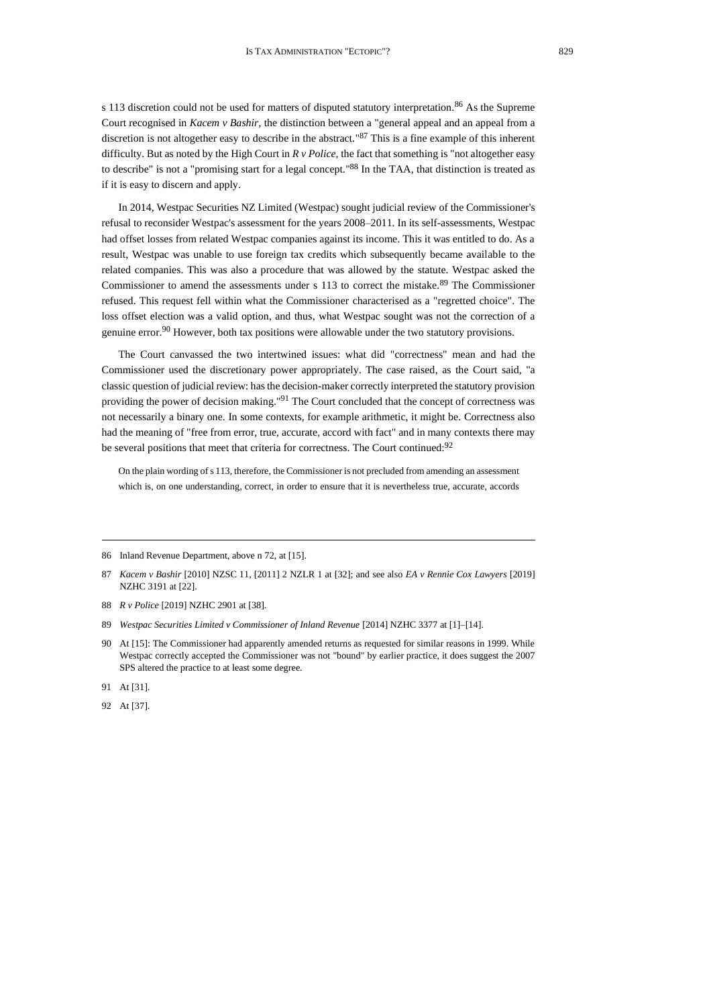s 113 discretion could not be used for matters of disputed statutory interpretation.<sup>86</sup> As the Supreme Court recognised in *Kacem v Bashir*, the distinction between a "general appeal and an appeal from a discretion is not altogether easy to describe in the abstract." <sup>87</sup> This is a fine example of this inherent difficulty. But as noted by the High Court in *R v Police*, the fact that something is "not altogether easy to describe" is not a "promising start for a legal concept." <sup>88</sup> In the TAA, that distinction is treated as if it is easy to discern and apply.

In 2014, Westpac Securities NZ Limited (Westpac) sought judicial review of the Commissioner's refusal to reconsider Westpac's assessment for the years 2008–2011. In its self-assessments, Westpac had offset losses from related Westpac companies against its income. This it was entitled to do. As a result, Westpac was unable to use foreign tax credits which subsequently became available to the related companies. This was also a procedure that was allowed by the statute. Westpac asked the Commissioner to amend the assessments under s 113 to correct the mistake.<sup>89</sup> The Commissioner refused. This request fell within what the Commissioner characterised as a "regretted choice". The loss offset election was a valid option, and thus, what Westpac sought was not the correction of a genuine error.<sup>90</sup> However, both tax positions were allowable under the two statutory provisions.

<span id="page-16-0"></span>The Court canvassed the two intertwined issues: what did "correctness" mean and had the Commissioner used the discretionary power appropriately. The case raised, as the Court said, "a classic question of judicial review: has the decision-maker correctly interpreted the statutory provision providing the power of decision making."<sup>91</sup> The Court concluded that the concept of correctness was not necessarily a binary one. In some contexts, for example arithmetic, it might be. Correctness also had the meaning of "free from error, true, accurate, accord with fact" and in many contexts there may be several positions that meet that criteria for correctness. The Court continued:<sup>92</sup>

On the plain wording of s 113, therefore, the Commissioner is not precluded from amending an assessment which is, on one understanding, correct, in order to ensure that it is nevertheless true, accurate, accords

<sup>86</sup> Inland Revenue Department, above [n 72,](#page-13-0) at [15].

<sup>87</sup> *Kacem v Bashir* [2010] NZSC 11, [2011] 2 NZLR 1 at [32]; and see also *EA v Rennie Cox Lawyers* [2019] NZHC 3191 at [22].

<sup>88</sup> *R v Police* [2019] NZHC 2901 at [38].

<sup>89</sup> *Westpac Securities Limited v Commissioner of Inland Revenue* [2014] NZHC 3377 at [1]–[14].

<sup>90</sup> At [15]: The Commissioner had apparently amended returns as requested for similar reasons in 1999. While Westpac correctly accepted the Commissioner was not "bound" by earlier practice, it does suggest the 2007 SPS altered the practice to at least some degree.

<sup>91</sup> At [31].

<sup>92</sup> At [37].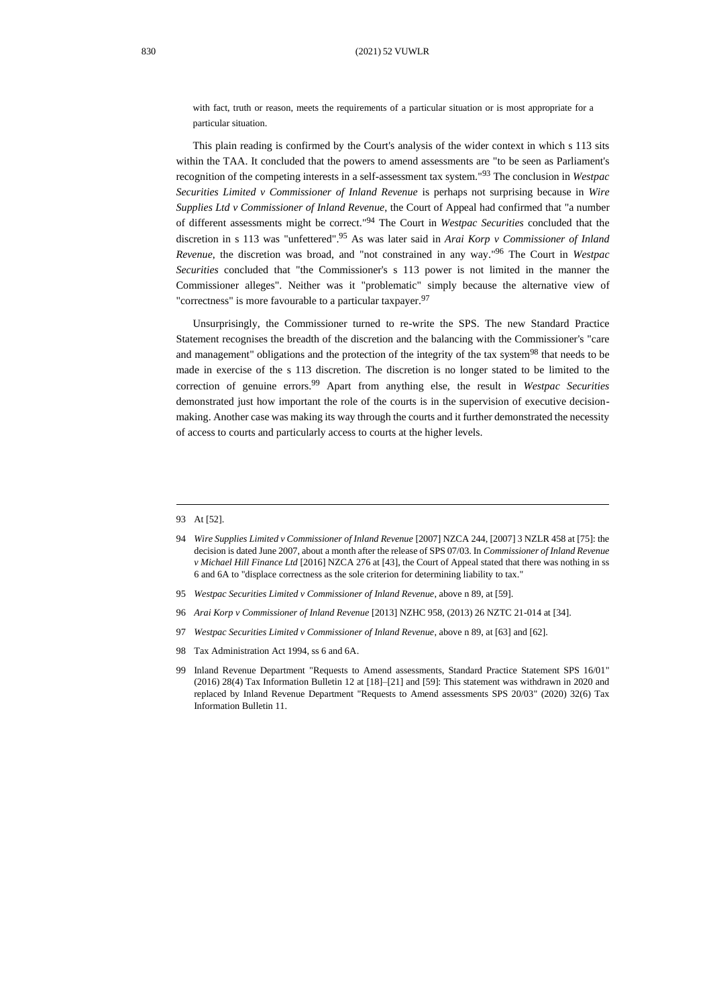with fact, truth or reason, meets the requirements of a particular situation or is most appropriate for a particular situation.

This plain reading is confirmed by the Court's analysis of the wider context in which s 113 sits within the TAA. It concluded that the powers to amend assessments are "to be seen as Parliament's recognition of the competing interests in a self-assessment tax system." <sup>93</sup> The conclusion in *Westpac Securities Limited v Commissioner of Inland Revenue* is perhaps not surprising because in *Wire Supplies Ltd v Commissioner of Inland Revenue*, the Court of Appeal had confirmed that "a number of different assessments might be correct." <sup>94</sup> The Court in *Westpac Securities* concluded that the discretion in s 113 was "unfettered". <sup>95</sup> As was later said in *Arai Korp v Commissioner of Inland Revenue*, the discretion was broad, and "not constrained in any way." <sup>96</sup> The Court in *Westpac Securities* concluded that "the Commissioner's s 113 power is not limited in the manner the Commissioner alleges". Neither was it "problematic" simply because the alternative view of "correctness" is more favourable to a particular taxpayer.<sup>97</sup>

<span id="page-17-0"></span>Unsurprisingly, the Commissioner turned to re-write the SPS. The new Standard Practice Statement recognises the breadth of the discretion and the balancing with the Commissioner's "care and management" obligations and the protection of the integrity of the tax system<sup>98</sup> that needs to be made in exercise of the s 113 discretion. The discretion is no longer stated to be limited to the correction of genuine errors.<sup>99</sup> Apart from anything else, the result in *Westpac Securities* demonstrated just how important the role of the courts is in the supervision of executive decisionmaking. Another case was making its way through the courts and it further demonstrated the necessity of access to courts and particularly access to courts at the higher levels.

- 95 *Westpac Securities Limited v Commissioner of Inland Revenue*, above n [89,](#page-16-0) at [59].
- 96 *Arai Korp v Commissioner of Inland Revenue* [2013] NZHC 958, (2013) 26 NZTC 21-014 at [34].
- 97 *Westpac Securities Limited v Commissioner of Inland Revenue*, above [n 89,](#page-16-0) at [63] and [62].
- 98 Tax Administration Act 1994, ss 6 and 6A.
- 99 Inland Revenue Department "Requests to Amend assessments, Standard Practice Statement SPS 16/01" (2016) 28(4) Tax Information Bulletin 12 at [18]–[21] and [59]: This statement was withdrawn in 2020 and replaced by Inland Revenue Department "Requests to Amend assessments SPS 20/03" (2020) 32(6) Tax Information Bulletin 11.

<sup>93</sup> At [52].

<sup>94</sup> *Wire Supplies Limited v Commissioner of Inland Revenue* [2007] NZCA 244, [2007] 3 NZLR 458 at [75]: the decision is dated June 2007, about a month after the release of SPS 07/03. In *Commissioner of Inland Revenue v Michael Hill Finance Ltd* [2016] NZCA 276 at [43], the Court of Appeal stated that there was nothing in ss 6 and 6A to "displace correctness as the sole criterion for determining liability to tax."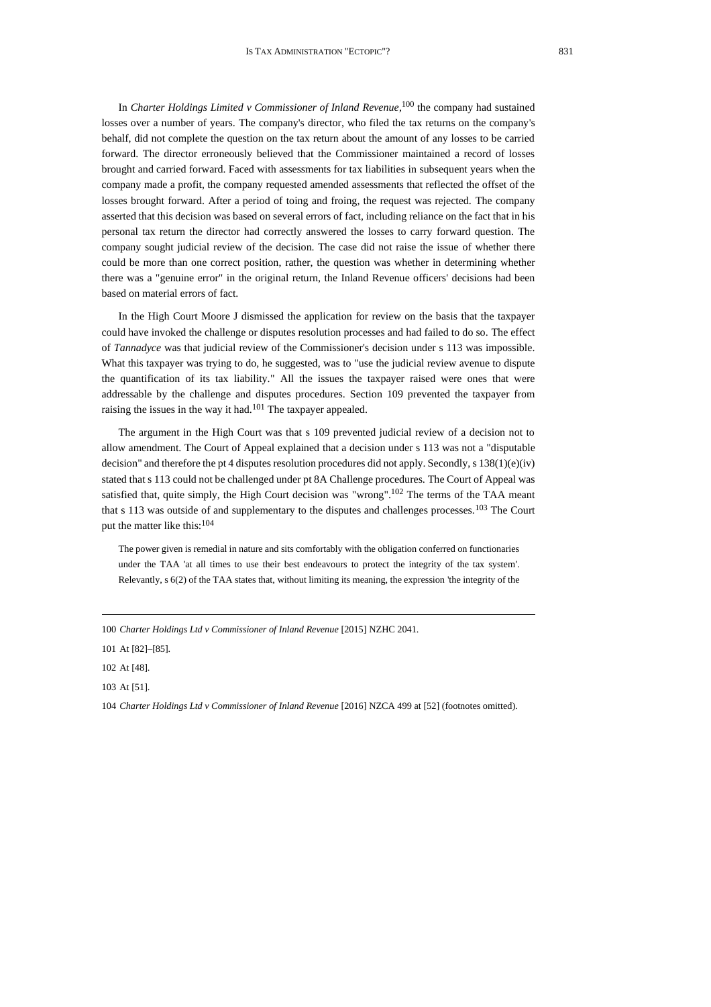In *Charter Holdings Limited v Commissioner of Inland Revenue*, <sup>100</sup> the company had sustained losses over a number of years. The company's director, who filed the tax returns on the company's behalf, did not complete the question on the tax return about the amount of any losses to be carried forward. The director erroneously believed that the Commissioner maintained a record of losses brought and carried forward. Faced with assessments for tax liabilities in subsequent years when the company made a profit, the company requested amended assessments that reflected the offset of the losses brought forward. After a period of toing and froing, the request was rejected. The company asserted that this decision was based on several errors of fact, including reliance on the fact that in his personal tax return the director had correctly answered the losses to carry forward question. The company sought judicial review of the decision. The case did not raise the issue of whether there could be more than one correct position, rather, the question was whether in determining whether there was a "genuine error" in the original return, the Inland Revenue officers' decisions had been based on material errors of fact.

In the High Court Moore J dismissed the application for review on the basis that the taxpayer could have invoked the challenge or disputes resolution processes and had failed to do so. The effect of *Tannadyce* was that judicial review of the Commissioner's decision under s 113 was impossible. What this taxpayer was trying to do, he suggested, was to "use the judicial review avenue to dispute the quantification of its tax liability." All the issues the taxpayer raised were ones that were addressable by the challenge and disputes procedures. Section 109 prevented the taxpayer from raising the issues in the way it had.<sup>101</sup> The taxpayer appealed.

The argument in the High Court was that s 109 prevented judicial review of a decision not to allow amendment. The Court of Appeal explained that a decision under s 113 was not a "disputable decision" and therefore the pt 4 disputes resolution procedures did not apply. Secondly, s 138(1)(e)(iv) stated that s 113 could not be challenged under pt 8A Challenge procedures. The Court of Appeal was satisfied that, quite simply, the High Court decision was "wrong".<sup>102</sup> The terms of the TAA meant that s 113 was outside of and supplementary to the disputes and challenges processes.<sup>103</sup> The Court put the matter like this:<sup>104</sup>

<span id="page-18-0"></span>The power given is remedial in nature and sits comfortably with the obligation conferred on functionaries under the TAA 'at all times to use their best endeavours to protect the integrity of the tax system'. Relevantly, s 6(2) of the TAA states that, without limiting its meaning, the expression 'the integrity of the

<sup>100</sup> *Charter Holdings Ltd v Commissioner of Inland Revenue* [2015] NZHC 2041.

<sup>101</sup> At [82]–[85].

<sup>102</sup> At [48].

<sup>103</sup> At [51].

<sup>104</sup> *Charter Holdings Ltd v Commissioner of Inland Revenue* [2016] NZCA 499 at [52] (footnotes omitted).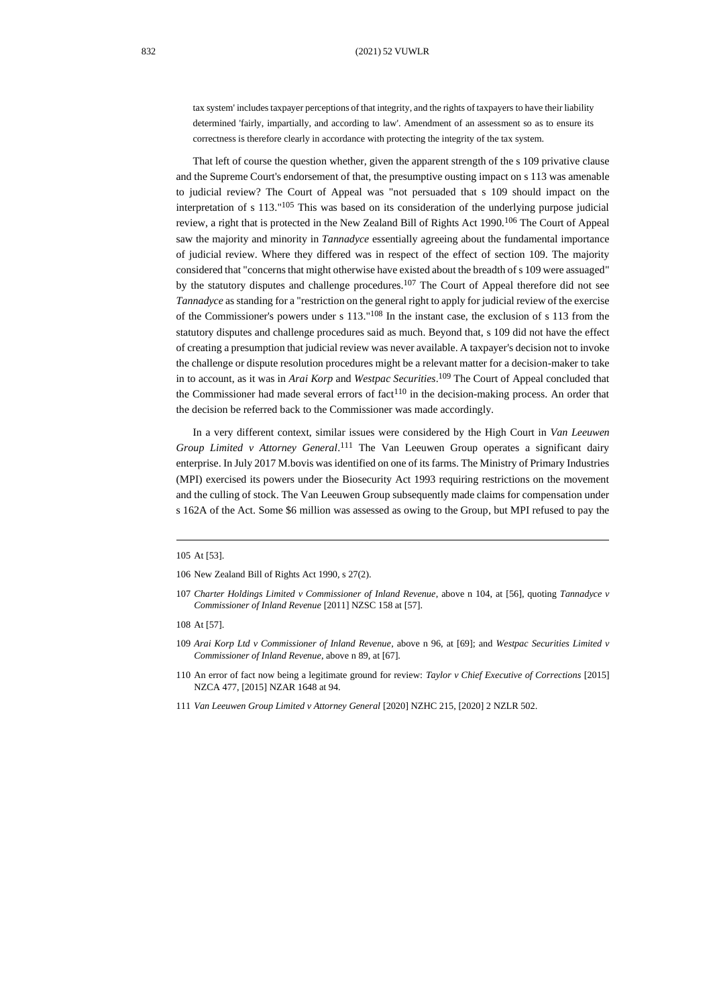tax system' includes taxpayer perceptions of that integrity, and the rights of taxpayers to have their liability determined 'fairly, impartially, and according to law'. Amendment of an assessment so as to ensure its correctness is therefore clearly in accordance with protecting the integrity of the tax system.

That left of course the question whether, given the apparent strength of the s 109 privative clause and the Supreme Court's endorsement of that, the presumptive ousting impact on s 113 was amenable to judicial review? The Court of Appeal was "not persuaded that s 109 should impact on the interpretation of s 113."<sup>105</sup> This was based on its consideration of the underlying purpose judicial review, a right that is protected in the New Zealand Bill of Rights Act 1990.<sup>106</sup> The Court of Appeal saw the majority and minority in *Tannadyce* essentially agreeing about the fundamental importance of judicial review. Where they differed was in respect of the effect of section 109. The majority considered that "concerns that might otherwise have existed about the breadth of s 109 were assuaged" by the statutory disputes and challenge procedures.<sup>107</sup> The Court of Appeal therefore did not see *Tannadyce* as standing for a "restriction on the general right to apply for judicial review of the exercise of the Commissioner's powers under s 113." <sup>108</sup> In the instant case, the exclusion of s 113 from the statutory disputes and challenge procedures said as much. Beyond that, s 109 did not have the effect of creating a presumption that judicial review was never available. A taxpayer's decision not to invoke the challenge or dispute resolution procedures might be a relevant matter for a decision-maker to take in to account, as it was in *Arai Korp* and *Westpac Securities*. <sup>109</sup> The Court of Appeal concluded that the Commissioner had made several errors of  $fact<sup>110</sup>$  in the decision-making process. An order that the decision be referred back to the Commissioner was made accordingly.

<span id="page-19-0"></span>In a very different context, similar issues were considered by the High Court in *Van Leeuwen Group Limited v Attorney General*. <sup>111</sup> The Van Leeuwen Group operates a significant dairy enterprise. In July 2017 M.bovis was identified on one of its farms. The Ministry of Primary Industries (MPI) exercised its powers under the Biosecurity Act 1993 requiring restrictions on the movement and the culling of stock. The Van Leeuwen Group subsequently made claims for compensation under s 162A of the Act. Some \$6 million was assessed as owing to the Group, but MPI refused to pay the

<sup>105</sup> At [53].

<sup>106</sup> New Zealand Bill of Rights Act 1990, s 27(2).

<sup>107</sup> *Charter Holdings Limited v Commissioner of Inland Revenue*, above n [104,](#page-18-0) at [56], quoting *Tannadyce v Commissioner of Inland Revenue* [2011] NZSC 158 at [57].

<sup>108</sup> At [57].

<sup>109</sup> *Arai Korp Ltd v Commissioner of Inland Revenue*, above n [96,](#page-17-0) at [69]; and *Westpac Securities Limited v Commissioner of Inland Revenue*, above [n 89,](#page-16-0) at [67].

<sup>110</sup> An error of fact now being a legitimate ground for review: *Taylor v Chief Executive of Corrections* [2015] NZCA 477, [2015] NZAR 1648 at 94.

<sup>111</sup> *Van Leeuwen Group Limited v Attorney General* [2020] NZHC 215, [2020] 2 NZLR 502.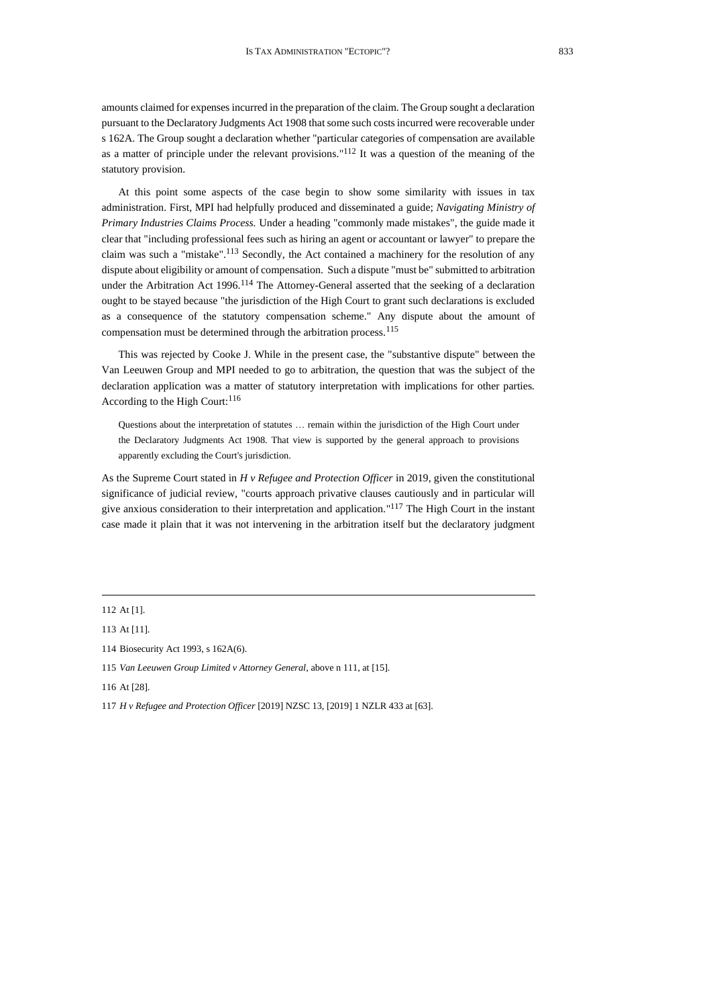amounts claimed for expenses incurred in the preparation of the claim. The Group sought a declaration pursuant to the Declaratory Judgments Act 1908 that some such costs incurred were recoverable under s 162A. The Group sought a declaration whether "particular categories of compensation are available as a matter of principle under the relevant provisions." <sup>112</sup> It was a question of the meaning of the statutory provision.

At this point some aspects of the case begin to show some similarity with issues in tax administration. First, MPI had helpfully produced and disseminated a guide; *Navigating Ministry of Primary Industries Claims Process.* Under a heading "commonly made mistakes", the guide made it clear that "including professional fees such as hiring an agent or accountant or lawyer" to prepare the claim was such a "mistake".<sup>113</sup> Secondly, the Act contained a machinery for the resolution of any dispute about eligibility or amount of compensation. Such a dispute "must be" submitted to arbitration under the Arbitration Act 1996.<sup>114</sup> The Attorney-General asserted that the seeking of a declaration ought to be stayed because "the jurisdiction of the High Court to grant such declarations is excluded as a consequence of the statutory compensation scheme." Any dispute about the amount of compensation must be determined through the arbitration process.<sup>115</sup>

This was rejected by Cooke J. While in the present case, the "substantive dispute" between the Van Leeuwen Group and MPI needed to go to arbitration, the question that was the subject of the declaration application was a matter of statutory interpretation with implications for other parties. According to the High Court:<sup>116</sup>

Questions about the interpretation of statutes … remain within the jurisdiction of the High Court under the Declaratory Judgments Act 1908. That view is supported by the general approach to provisions apparently excluding the Court's jurisdiction.

As the Supreme Court stated in *H v Refugee and Protection Officer* in 2019, given the constitutional significance of judicial review, "courts approach privative clauses cautiously and in particular will give anxious consideration to their interpretation and application." <sup>117</sup> The High Court in the instant case made it plain that it was not intervening in the arbitration itself but the declaratory judgment

116 At [28].

117 *H v Refugee and Protection Officer* [2019] NZSC 13, [2019] 1 NZLR 433 at [63].

<sup>112</sup> At [1].

<sup>113</sup> At [11].

<sup>114</sup> Biosecurity Act 1993, s 162A(6).

<sup>115</sup> *Van Leeuwen Group Limited v Attorney General*, above [n 111,](#page-19-0) at [15].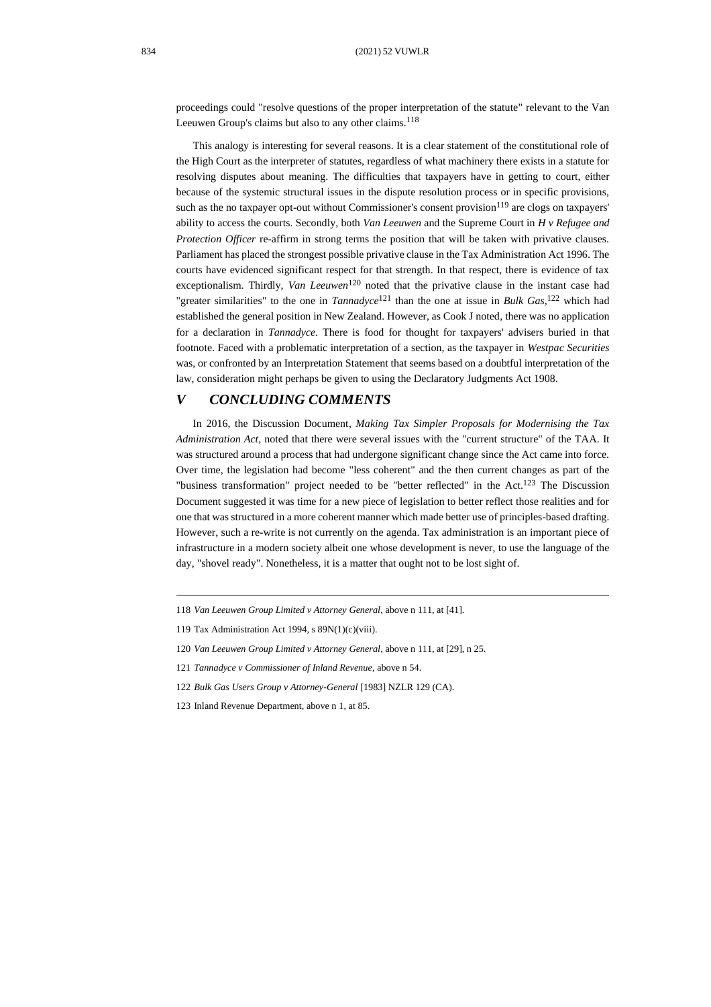proceedings could "resolve questions of the proper interpretation of the statute" relevant to the Van Leeuwen Group's claims but also to any other claims.<sup>118</sup>

This analogy is interesting for several reasons. It is a clear statement of the constitutional role of the High Court as the interpreter of statutes, regardless of what machinery there exists in a statute for resolving disputes about meaning. The difficulties that taxpayers have in getting to court, either because of the systemic structural issues in the dispute resolution process or in specific provisions, such as the no taxpayer opt-out without Commissioner's consent provision<sup>119</sup> are clogs on taxpayers' ability to access the courts. Secondly, both *Van Leeuwen* and the Supreme Court in *H v Refugee and Protection Officer* re-affirm in strong terms the position that will be taken with privative clauses. Parliament has placed the strongest possible privative clause in the Tax Administration Act 1996. The courts have evidenced significant respect for that strength. In that respect, there is evidence of tax exceptionalism. Thirdly, *Van Leeuwen*<sup>120</sup> noted that the privative clause in the instant case had "greater similarities" to the one in *Tannadyce*<sup>121</sup> than the one at issue in *Bulk Gas*, <sup>122</sup> which had established the general position in New Zealand. However, as Cook J noted, there was no application for a declaration in *Tannadyce*. There is food for thought for taxpayers' advisers buried in that footnote. Faced with a problematic interpretation of a section, as the taxpayer in *Westpac Securities* was, or confronted by an Interpretation Statement that seems based on a doubtful interpretation of the law, consideration might perhaps be given to using the Declaratory Judgments Act 1908.

## *V CONCLUDING COMMENTS*

In 2016, the Discussion Document, *Making Tax Simpler Proposals for Modernising the Tax Administration Act*, noted that there were several issues with the "current structure" of the TAA. It was structured around a process that had undergone significant change since the Act came into force. Over time, the legislation had become "less coherent" and the then current changes as part of the "business transformation" project needed to be "better reflected" in the Act.<sup>123</sup> The Discussion Document suggested it was time for a new piece of legislation to better reflect those realities and for one that was structured in a more coherent manner which made better use of principles-based drafting. However, such a re-write is not currently on the agenda. Tax administration is an important piece of infrastructure in a modern society albeit one whose development is never, to use the language of the day, "shovel ready". Nonetheless, it is a matter that ought not to be lost sight of.

<sup>118</sup> *Van Leeuwen Group Limited v Attorney General*, above [n 111,](#page-19-0) at [41].

<sup>119</sup> Tax Administration Act 1994, s 89N(1)(c)(viii).

<sup>120</sup> *Van Leeuwen Group Limited v Attorney General*, above [n 111,](#page-19-0) at [29], n 25.

<sup>121</sup> *Tannadyce v Commissioner of Inland Revenue*, above [n 54.](#page-10-0)

<sup>122</sup> *Bulk Gas Users Group v Attorney-General* [1983] NZLR 129 (CA).

<sup>123</sup> Inland Revenue Department, above [n 1,](#page-1-1) at 85.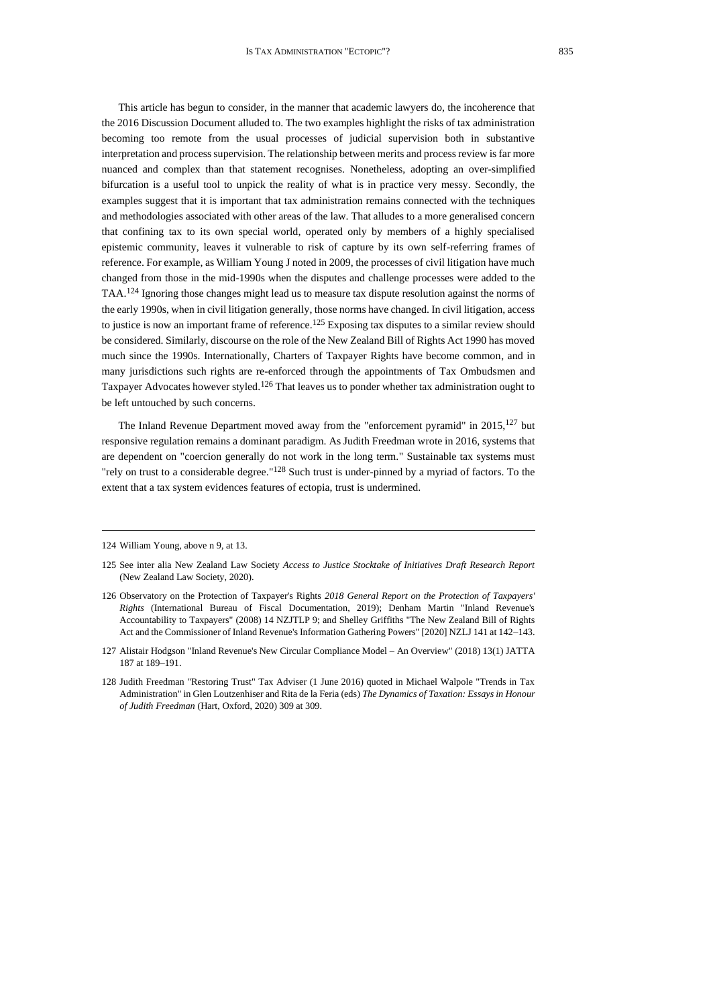This article has begun to consider, in the manner that academic lawyers do, the incoherence that the 2016 Discussion Document alluded to. The two examples highlight the risks of tax administration becoming too remote from the usual processes of judicial supervision both in substantive interpretation and process supervision. The relationship between merits and process review is far more nuanced and complex than that statement recognises. Nonetheless, adopting an over-simplified bifurcation is a useful tool to unpick the reality of what is in practice very messy. Secondly, the examples suggest that it is important that tax administration remains connected with the techniques and methodologies associated with other areas of the law. That alludes to a more generalised concern that confining tax to its own special world, operated only by members of a highly specialised epistemic community, leaves it vulnerable to risk of capture by its own self-referring frames of reference. For example, as William Young J noted in 2009, the processes of civil litigation have much changed from those in the mid-1990s when the disputes and challenge processes were added to the TAA.<sup>124</sup> Ignoring those changes might lead us to measure tax dispute resolution against the norms of the early 1990s, when in civil litigation generally, those norms have changed. In civil litigation, access to justice is now an important frame of reference.<sup>125</sup> Exposing tax disputes to a similar review should be considered. Similarly, discourse on the role of the New Zealand Bill of Rights Act 1990 has moved much since the 1990s. Internationally, Charters of Taxpayer Rights have become common, and in many jurisdictions such rights are re-enforced through the appointments of Tax Ombudsmen and Taxpayer Advocates however styled.<sup>126</sup> That leaves us to ponder whether tax administration ought to be left untouched by such concerns.

The Inland Revenue Department moved away from the "enforcement pyramid" in  $2015$ ,  $127$  but responsive regulation remains a dominant paradigm. As Judith Freedman wrote in 2016, systems that are dependent on "coercion generally do not work in the long term." Sustainable tax systems must "rely on trust to a considerable degree."<sup>128</sup> Such trust is under-pinned by a myriad of factors. To the extent that a tax system evidences features of ectopia, trust is undermined.

<sup>124</sup> William Young, above [n 9,](#page-2-0) at 13.

<sup>125</sup> See inter alia New Zealand Law Society *Access to Justice Stocktake of Initiatives Draft Research Report* (New Zealand Law Society, 2020).

<sup>126</sup> Observatory on the Protection of Taxpayer's Rights *2018 General Report on the Protection of Taxpayers' Rights* (International Bureau of Fiscal Documentation, 2019); Denham Martin "Inland Revenue's Accountability to Taxpayers" (2008) 14 NZJTLP 9; and Shelley Griffiths "The New Zealand Bill of Rights Act and the Commissioner of Inland Revenue's Information Gathering Powers" [2020] NZLJ 141 at 142–143.

<sup>127</sup> Alistair Hodgson "Inland Revenue's New Circular Compliance Model – An Overview" (2018) 13(1) JATTA 187 at 189–191.

<sup>128</sup> Judith Freedman "Restoring Trust" Tax Adviser (1 June 2016) quoted in Michael Walpole "Trends in Tax Administration" in Glen Loutzenhiser and Rita de la Feria (eds) *The Dynamics of Taxation: Essays in Honour of Judith Freedman* (Hart, Oxford, 2020) 309 at 309.